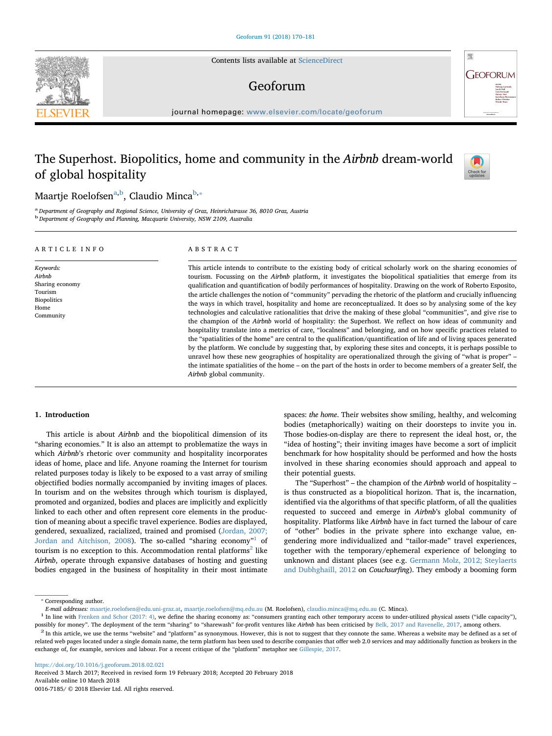Contents lists available at [ScienceDirect](http://www.sciencedirect.com/science/journal/00167185)

# Geoforum

journal homepage: [www.elsevier.com/locate/geoforum](https://www.elsevier.com/locate/geoforum)

# The Superhost. Biopolitics, home and community in the Airbnb dream-world of global hospitality



**GEOFORUM** 

Maartje Roelofsen<sup>[a,](#page-0-0)[b](#page-0-1)</sup>, Claudio Minca<sup>b,</sup>\*

<span id="page-0-1"></span><span id="page-0-0"></span><sup>a</sup> Department of Geography and Regional Science, University of Graz, Heinrichstrasse 36, 8010 Graz, Austria <sup>b</sup> Department of Geography and Planning, Macquarie University, NSW 2109, Australia

# ARTICLE INFO Keywords:

Airbnb Sharing economy Tourism **Biopolitics** Home Community

# ABSTRACT

This article intends to contribute to the existing body of critical scholarly work on the sharing economies of tourism. Focussing on the Airbnb platform, it investigates the biopolitical spatialities that emerge from its qualification and quantification of bodily performances of hospitality. Drawing on the work of Roberto Esposito, the article challenges the notion of "community" pervading the rhetoric of the platform and crucially influencing the ways in which travel, hospitality and home are reconceptualized. It does so by analysing some of the key technologies and calculative rationalities that drive the making of these global "communities", and give rise to the champion of the Airbnb world of hospitality: the Superhost. We reflect on how ideas of community and hospitality translate into a metrics of care, "localness" and belonging, and on how specific practices related to the "spatialities of the home" are central to the qualification/quantification of life and of living spaces generated by the platform. We conclude by suggesting that, by exploring these sites and concepts, it is perhaps possible to unravel how these new geographies of hospitality are operationalized through the giving of "what is proper" – the intimate spatialities of the home – on the part of the hosts in order to become members of a greater Self, the Airbnb global community.

# 1. Introduction

This article is about Airbnb and the biopolitical dimension of its "sharing economies." It is also an attempt to problematize the ways in which Airbnb's rhetoric over community and hospitality incorporates ideas of home, place and life. Anyone roaming the Internet for tourism related purposes today is likely to be exposed to a vast array of smiling objectified bodies normally accompanied by inviting images of places. In tourism and on the websites through which tourism is displayed, promoted and organized, bodies and places are implicitly and explicitly linked to each other and often represent core elements in the production of meaning about a specific travel experience. Bodies are displayed, gendered, sexualized, racialized, trained and promised ([Jordan, 2007;](#page-9-0) [Jordan and Aitchison, 2008\)](#page-9-0). The so-called "sharing economy"<sup>[1](#page-0-3)</sup> of tourism is no exception to this. Accommodation rental platforms<sup>[2](#page-0-4)</sup> like Airbnb, operate through expansive databases of hosting and guesting bodies engaged in the business of hospitality in their most intimate spaces: the home. Their websites show smiling, healthy, and welcoming bodies (metaphorically) waiting on their doorsteps to invite you in. Those bodies-on-display are there to represent the ideal host, or, the "idea of hosting"; their inviting images have become a sort of implicit benchmark for how hospitality should be performed and how the hosts involved in these sharing economies should approach and appeal to their potential guests.

The "Superhost" – the champion of the Airbnb world of hospitality – is thus constructed as a biopolitical horizon. That is, the incarnation, identified via the algorithms of that specific platform, of all the qualities requested to succeed and emerge in Airbnb's global community of hospitality. Platforms like Airbnb have in fact turned the labour of care of "other" bodies in the private sphere into exchange value, engendering more individualized and "tailor-made" travel experiences, together with the temporary/ephemeral experience of belonging to unknown and distant places (see e.g. [Germann Molz, 2012; Steylaerts](#page-9-1) [and Dubhghaill, 2012](#page-9-1) on Couchsurfing). They embody a booming form

<https://doi.org/10.1016/j.geoforum.2018.02.021>

Received 3 March 2017; Received in revised form 19 February 2018; Accepted 20 February 2018 Available online 10 March 2018 0016-7185/ © 2018 Elsevier Ltd. All rights reserved.

<span id="page-0-2"></span><sup>\*</sup> Corresponding author.<br>E-mail addresses: maartie.roelofsen@edu.uni-eraz.at. maartie.roelofsen@mq.edu.au (M. Roelofsen). claudio.minca@mq.edu.au (C. Minca).

<span id="page-0-3"></span> $1$  In line with [Frenken and Schor \(2017: 4\),](#page-9-2) we define the sharing economy as: "consumers granting each other temporary access to under-utilized physical assets ("idle capacity"), possibly for money". The deployment of the term "sharing" to "sharewash" for-profit ventures like Airbnb has been criticised by [Belk, 2017 and Ravenelle, 2017](#page-9-3), among others.<br><sup>2</sup> In this article, we use the terms "website"

<span id="page-0-4"></span>related web pages located under a single domain name, the term platform has been used to describe companies that offer web 2.0 services and may additionally function as brokers in the exchange of, for example, services and labour. For a recent critique of the "platform" metaphor see [Gillespie, 2017.](#page-11-0)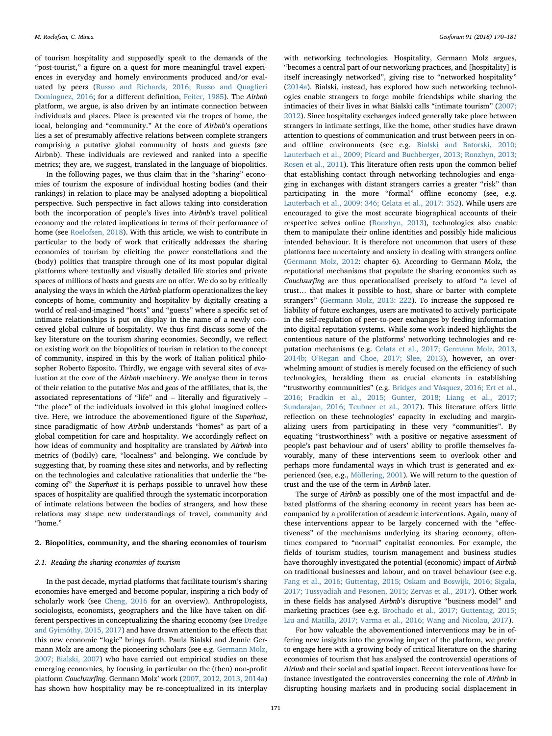of tourism hospitality and supposedly speak to the demands of the "post-tourist," a figure on a quest for more meaningful travel experiences in everyday and homely environments produced and/or evaluated by peers ([Russo and Richards, 2016; Russo and Quaglieri](#page-10-0) [Domínguez, 2016;](#page-10-0) for a different definition, [Feifer, 1985\)](#page-9-4). The Airbnb platform, we argue, is also driven by an intimate connection between individuals and places. Place is presented via the tropes of home, the local, belonging and "community." At the core of Airbnb's operations lies a set of presumably affective relations between complete strangers comprising a putative global community of hosts and guests (see Airbnb). These individuals are reviewed and ranked into a specific metrics; they are, we suggest, translated in the language of biopolitics.

In the following pages, we thus claim that in the "sharing" economies of tourism the exposure of individual hosting bodies (and their rankings) in relation to place may be analysed adopting a biopolitical perspective. Such perspective in fact allows taking into consideration both the incorporation of people's lives into Airbnb's travel political economy and the related implications in terms of their performance of home (see [Roelofsen, 2018\)](#page-10-1). With this article, we wish to contribute in particular to the body of work that critically addresses the sharing economies of tourism by eliciting the power constellations and the (body) politics that transpire through one of its most popular digital platforms where textually and visually detailed life stories and private spaces of millions of hosts and guests are on offer. We do so by critically analysing the ways in which the Airbnb platform operationalizes the key concepts of home, community and hospitality by digitally creating a world of real-and-imagined "hosts" and "guests" where a specific set of intimate relationships is put on display in the name of a newly conceived global culture of hospitality. We thus first discuss some of the key literature on the tourism sharing economies. Secondly, we reflect on existing work on the biopolitics of tourism in relation to the concept of community, inspired in this by the work of Italian political philosopher Roberto Esposito. Thirdly, we engage with several sites of evaluation at the core of the Airbnb machinery. We analyse them in terms of their relation to the putative bios and geos of the affiliates, that is, the associated representations of "life" and – literally and figuratively – "the place" of the individuals involved in this global imagined collective. Here, we introduce the abovementioned figure of the Superhost, since paradigmatic of how Airbnb understands "homes" as part of a global competition for care and hospitality. We accordingly reflect on how ideas of community and hospitality are translated by Airbnb into metrics of (bodily) care, "localness" and belonging. We conclude by suggesting that, by roaming these sites and networks, and by reflecting on the technologies and calculative rationalities that underlie the "becoming of" the Superhost it is perhaps possible to unravel how these spaces of hospitality are qualified through the systematic incorporation of intimate relations between the bodies of strangers, and how these relations may shape new understandings of travel, community and "home."

### 2. Biopolitics, community, and the sharing economies of tourism

### 2.1. Reading the sharing economies of tourism

In the past decade, myriad platforms that facilitate tourism's sharing economies have emerged and become popular, inspiring a rich body of scholarly work (see [Cheng, 2016](#page-9-5) for an overview). Anthropologists, sociologists, economists, geographers and the like have taken on different perspectives in conceptualizing the sharing economy (see [Dredge](#page-9-6) [and Gyimóthy, 2015, 2017\)](#page-9-6) and have drawn attention to the effects that this new economic "logic" brings forth. Paula Bialski and Jennie Germann Molz are among the pioneering scholars (see e.g. [Germann Molz,](#page-9-7) [2007; Bialski, 2007\)](#page-9-7) who have carried out empirical studies on these emerging economies, by focusing in particular on the (then) non-profit platform Couchsurfing. Germann Molz' work ([2007, 2012, 2013, 2014a\)](#page-9-7) has shown how hospitality may be re-conceptualized in its interplay

with networking technologies. Hospitality, Germann Molz argues, "becomes a central part of our networking practices, and [hospitality] is itself increasingly networked", giving rise to "networked hospitality" ([2014a\)](#page-9-8). Bialski, instead, has explored how such networking technologies enable strangers to forge mobile friendships while sharing the intimacies of their lives in what Bialski calls "intimate tourism" ([2007;](#page-9-9) [2012\)](#page-9-9). Since hospitality exchanges indeed generally take place between strangers in intimate settings, like the home, other studies have drawn attention to questions of communication and trust between peers in onand offline environments (see e.g. [Bialski and Batorski, 2010;](#page-9-10) [Lauterbach et al., 2009; Picard and Buchberger, 2013; Ronzhyn, 2013;](#page-9-10) [Rosen et al., 2011\)](#page-9-10). This literature often rests upon the common belief that establishing contact through networking technologies and engaging in exchanges with distant strangers carries a greater "risk" than participating in the more "formal" offline economy (see, e.g. [Lauterbach et al., 2009: 346; Celata et al., 2017: 352](#page-10-2)). While users are encouraged to give the most accurate biographical accounts of their respective selves online ([Ronzhyn, 2013](#page-10-3)), technologies also enable them to manipulate their online identities and possibly hide malicious intended behaviour. It is therefore not uncommon that users of these platforms face uncertainty and anxiety in dealing with strangers online ([Germann Molz, 2012:](#page-9-1) chapter 6). According to Germann Molz, the reputational mechanisms that populate the sharing economies such as Couchsurfing are thus operationalised precisely to afford "a level of trust… that makes it possible to host, share or barter with complete strangers" ([Germann Molz, 2013: 222](#page-9-11)). To increase the supposed reliability of future exchanges, users are motivated to actively participate in the self-regulation of peer-to-peer exchanges by feeding information into digital reputation systems. While some work indeed highlights the contentious nature of the platforms' networking technologies and reputation mechanisms (e.g. [Celata et al., 2017; Germann Molz, 2013,](#page-9-12) 2014b; O'[Regan and Choe, 2017; Slee, 2013](#page-9-12)), however, an overwhelming amount of studies is merely focused on the efficiency of such technologies, heralding them as crucial elements in establishing "trustworthy communities" (e.g. [Bridges and Vásquez, 2016; Ert et al.,](#page-9-13) [2016; Fradkin et al., 2015; Gunter, 2018; Liang et al., 2017;](#page-9-13) [Sundarajan, 2016; Teubner et al., 2017\)](#page-9-13). This literature offers little reflection on these technologies' capacity in excluding and marginalizing users from participating in these very "communities". By equating "trustworthiness" with a positive or negative assessment of people's past behaviour and of users' ability to profile themselves favourably, many of these interventions seem to overlook other and perhaps more fundamental ways in which trust is generated and experienced (see, e.g., [Möllering, 2001](#page-10-4)). We will return to the question of trust and the use of the term in Airbnb later.

The surge of Airbnb as possibly one of the most impactful and debated platforms of the sharing economy in recent years has been accompanied by a proliferation of academic interventions. Again, many of these interventions appear to be largely concerned with the "effectiveness" of the mechanisms underlying its sharing economy, oftentimes compared to "normal" capitalist economies. For example, the fields of tourism studies, tourism management and business studies have thoroughly investigated the potential (economic) impact of Airbnb on traditional businesses and labour, and on travel behaviour (see e.g. [Fang et al., 2016; Guttentag, 2015; Oskam and Boswijk, 2016; Sigala,](#page-9-14) [2017; Tussyadiah and Pesonen, 2015; Zervas et al., 2017](#page-9-14)). Other work in these fields has analysed Airbnb's disruptive "business model" and marketing practices (see e.g. [Brochado et al., 2017; Guttentag, 2015;](#page-9-15) [Liu and Matilla, 2017; Varma et al., 2016; Wang and Nicolau, 2017](#page-9-15)).

For how valuable the abovementioned interventions may be in offering new insights into the growing impact of the platform, we prefer to engage here with a growing body of critical literature on the sharing economies of tourism that has analysed the controversial operations of Airbnb and their social and spatial impact. Recent interventions have for instance investigated the controversies concerning the role of Airbnb in disrupting housing markets and in producing social displacement in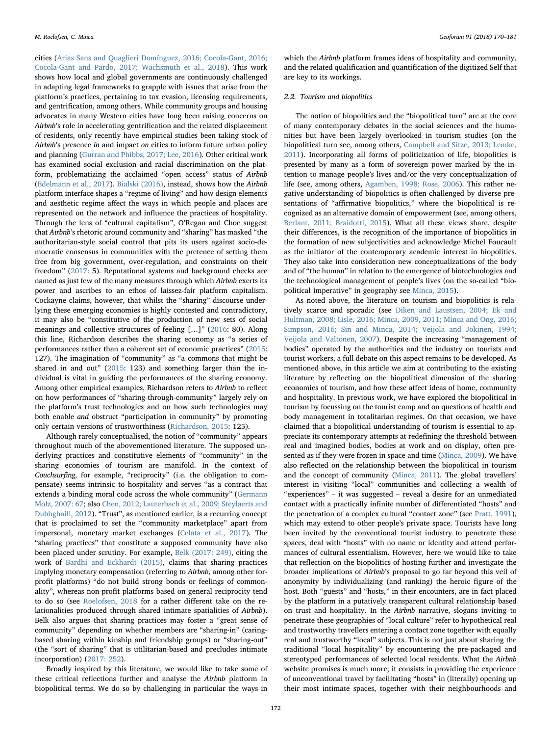cities ([Arias Sans and Quaglieri Domínguez, 2016; Cocola-Gant, 2016;](#page-9-16) [Cocola-Gant and Pardo, 2017; Wachsmuth et al., 2018](#page-9-16)). This work shows how local and global governments are continuously challenged in adapting legal frameworks to grapple with issues that arise from the platform's practices, pertaining to tax evasion, licensing requirements, and gentrification, among others. While community groups and housing advocates in many Western cities have long been raising concerns on Airbnb's role in accelerating gentrification and the related displacement of residents, only recently have empirical studies been taking stock of Airbnb's presence in and impact on cities to inform future urban policy and planning ([Gurran and Phibbs, 2017; Lee, 2016\)](#page-9-17). Other critical work has examined social exclusion and racial discrimination on the platform, problematizing the acclaimed "open access" status of Airbnb ([Edelmann et al., 2017\)](#page-9-18). [Bialski \(2016\)](#page-9-19), instead, shows how the Airbnb platform interface shapes a "regime of living" and how design elements and aesthetic regime affect the ways in which people and places are represented on the network and influence the practices of hospitality. Through the lens of "cultural capitalism", O'Regan and Choe suggest that Airbnb's rhetoric around community and "sharing" has masked "the authoritarian-style social control that pits its users against socio-democratic consensus in communities with the pretence of setting them free from big government, over-regulation, and constraints on their freedom" [\(2017](#page-10-5): 5). Reputational systems and background checks are named as just few of the many measures through which Airbnb exerts its power and ascribes to an ethos of laissez-fair platform capitalism. Cockayne claims, however, that whilst the "sharing" discourse underlying these emerging economies is highly contested and contradictory, it may also be "constitutive of the production of new sets of social meanings and collective structures of feeling […]" [\(2016](#page-9-20): 80). Along this line, Richardson describes the sharing economy as "a series of performances rather than a coherent set of economic practices" [\(2015](#page-10-6): 127). The imagination of "community" as "a commons that might be shared in and out" ([2015:](#page-10-6) 123) and something larger than the individual is vital in guiding the performances of the sharing economy. Among other empirical examples, Richardson refers to Airbnb to reflect on how performances of "sharing-through-community" largely rely on the platform's trust technologies and on how such technologies may both enable and obstruct "participation in community" by promoting only certain versions of trustworthiness ([Richardson, 2015](#page-10-6): 125).

Although rarely conceptualised, the notion of "community" appears throughout much of the abovementioned literature. The supposed underlying practices and constitutive elements of "community" in the sharing economies of tourism are manifold. In the context of Couchsurfing, for example, "reciprocity" (i.e. the obligation to compensate) seems intrinsic to hospitality and serves "as a contract that extends a binding moral code across the whole community" [\(Germann](#page-9-7) [Molz, 2007: 67](#page-9-7); also [Chen, 2012; Lauterbach et al., 2009; Steylaerts and](#page-9-21) [Dubhghaill, 2012\)](#page-9-21). "Trust", as mentioned earlier, is a recurring concept that is proclaimed to set the "community marketplace" apart from impersonal, monetary market exchanges ([Celata et al., 2017\)](#page-9-12). The "sharing practices" that constitute a supposed community have also been placed under scrutiny. For example, [Belk \(2017: 249\),](#page-9-3) citing the work of [Bardhi and Eckhardt \(2015\),](#page-9-22) claims that sharing practices implying monetary compensation (referring to Airbnb, among other forprofit platforms) "do not build strong bonds or feelings of commonality", whereas non-profit platforms based on general reciprocity tend to do so (see [Roelofsen, 2018](#page-10-1) for a rather different take on the relationalities produced through shared intimate spatialities of Airbnb). Belk also argues that sharing practices may foster a "great sense of community" depending on whether members are "sharing-in" (caringbased sharing within kinship and friendship groups) or "sharing-out" (the "sort of sharing" that is utilitarian-based and precludes intimate incorporation) [\(2017: 252\)](#page-9-3).

Broadly inspired by this literature, we would like to take some of these critical reflections further and analyse the Airbnb platform in biopolitical terms. We do so by challenging in particular the ways in

which the Airbnb platform frames ideas of hospitality and community, and the related qualification and quantification of the digitized Self that are key to its workings.

#### 2.2. Tourism and biopolitics

The notion of biopolitics and the "biopolitical turn" are at the core of many contemporary debates in the social sciences and the humanities but have been largely overlooked in tourism studies (on the biopolitical turn see, among others, [Campbell and Sitze, 2013; Lemke,](#page-9-23) [2011\)](#page-9-23). Incorporating all forms of politicization of life, biopolitics is presented by many as a form of sovereign power marked by the intention to manage people's lives and/or the very conceptualization of life (see, among others, [Agamben, 1998; Rose, 2006\)](#page-9-24). This rather negative understanding of biopolitics is often challenged by diverse presentations of "affirmative biopolitics," where the biopolitical is recognized as an alternative domain of empowerment (see, among others, [Berlant, 2011; Braidotti, 2015](#page-9-25)). What all these views share, despite their differences, is the recognition of the importance of biopolitics in the formation of new subjectivities and acknowledge Michel Foucault as the initiator of the contemporary academic interest in biopolitics. They also take into consideration new conceptualizations of the body and of "the human" in relation to the emergence of biotechnologies and the technological management of people's lives (on the so-called "biopolitical imperative" in geography see [Minca,](#page-10-7) 2015).

As noted above, the literature on tourism and biopolitics is relatively scarce and sporadic (see [Diken and Laustsen, 2004; Ek and](#page-9-26) [Hultman, 2008; Lisle, 2016; Minca, 2009, 2011; Minca and Ong, 2016;](#page-9-26) [Simpson, 2016; Sin and Minca, 2014; Veijola and Jokinen, 1994;](#page-9-26) [Veijola and Valtonen, 2007](#page-9-26)). Despite the increasing "management of bodies" operated by the authorities and the industry on tourists and tourist workers, a full debate on this aspect remains to be developed. As mentioned above, in this article we aim at contributing to the existing literature by reflecting on the biopolitical dimension of the sharing economies of tourism, and how these affect ideas of home, community and hospitality. In previous work, we have explored the biopolitical in tourism by focussing on the tourist camp and on questions of health and body management in totalitarian regimes. On that occasion, we have claimed that a biopolitical understanding of tourism is essential to appreciate its contemporary attempts at redefining the threshold between real and imagined bodies, bodies at work and on display, often presented as if they were frozen in space and time ([Minca, 2009](#page-10-8)). We have also reflected on the relationship between the biopolitical in tourism and the concept of community [\(Minca, 2011\)](#page-10-9). The global travellers' interest in visiting "local" communities and collecting a wealth of "experiences" – it was suggested – reveal a desire for an unmediated contact with a practically infinite number of differentiated "hosts" and the penetration of a complex cultural "contact zone" (see [Pratt, 1991](#page-10-10)), which may extend to other people's private space. Tourists have long been invited by the conventional tourist industry to penetrate these spaces, deal with "hosts" with no name or identity and attend performances of cultural essentialism. However, here we would like to take that reflection on the biopolitics of hosting further and investigate the broader implications of Airbnb's proposal to go far beyond this veil of anonymity by individualizing (and ranking) the heroic figure of the host. Both "guests" and "hosts," in their encounters, are in fact placed by the platform in a putatively transparent cultural relationship based on trust and hospitality. In the Airbnb narrative, slogans inviting to penetrate these geographies of "local culture" refer to hypothetical real and trustworthy travellers entering a contact zone together with equally real and trustworthy "local" subjects. This is not just about sharing the traditional "local hospitality" by encountering the pre-packaged and stereotyped performances of selected local residents. What the Airbnb website promises is much more; it consists in providing the experience of unconventional travel by facilitating "hosts" in (literally) opening up their most intimate spaces, together with their neighbourhoods and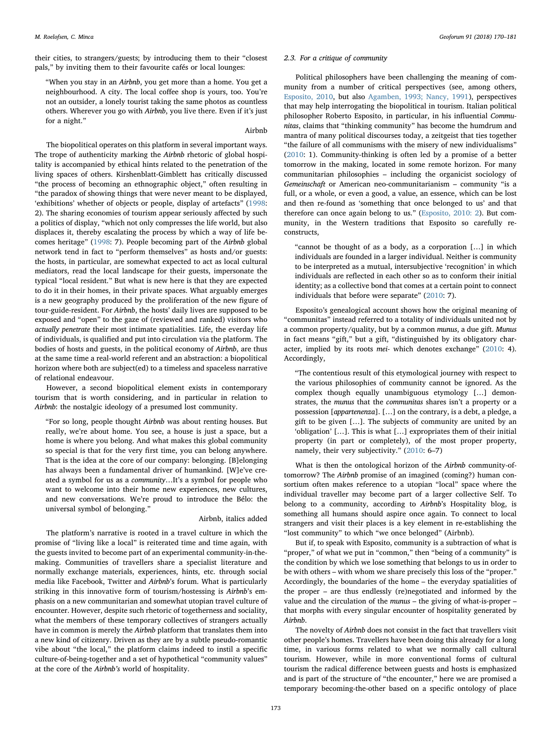their cities, to strangers/guests; by introducing them to their "closest pals," by inviting them to their favourite cafés or local lounges:

"When you stay in an Airbnb, you get more than a home. You get a neighbourhood. A city. The local coffee shop is yours, too. You're not an outsider, a lonely tourist taking the same photos as countless others. Wherever you go with Airbnb, you live there. Even if it's just for a night."

#### Airbnb

The biopolitical operates on this platform in several important ways. The trope of authenticity marking the Airbnb rhetoric of global hospitality is accompanied by ethical hints related to the penetration of the living spaces of others. Kirshenblatt-Gimblett has critically discussed "the process of becoming an ethnographic object," often resulting in "the paradox of showing things that were never meant to be displayed, 'exhibitions' whether of objects or people, display of artefacts" [\(1998](#page-9-27): 2). The sharing economies of tourism appear seriously affected by such a politics of display, "which not only compresses the life world, but also displaces it, thereby escalating the process by which a way of life becomes heritage" ([1998:](#page-9-27) 7). People becoming part of the Airbnb global network tend in fact to "perform themselves" as hosts and/or guests: the hosts, in particular, are somewhat expected to act as local cultural mediators, read the local landscape for their guests, impersonate the typical "local resident." But what is new here is that they are expected to do it in their homes, in their private spaces. What arguably emerges is a new geography produced by the proliferation of the new figure of tour-guide-resident. For Airbnb, the hosts' daily lives are supposed to be exposed and "open" to the gaze of (reviewed and ranked) visitors who actually penetrate their most intimate spatialities. Life, the everday life of individuals, is qualified and put into circulation via the platform. The bodies of hosts and guests, in the political economy of Airbnb, are thus at the same time a real-world referent and an abstraction: a biopolitical horizon where both are subject(ed) to a timeless and spaceless narrative of relational endeavour.

However, a second biopolitical element exists in contemporary tourism that is worth considering, and in particular in relation to Airbnb: the nostalgic ideology of a presumed lost community.

"For so long, people thought Airbnb was about renting houses. But really, we're about home. You see, a house is just a space, but a home is where you belong. And what makes this global community so special is that for the very first time, you can belong anywhere. That is the idea at the core of our company: belonging. [B]elonging has always been a fundamental driver of humankind. [W]e've created a symbol for us as a community…It's a symbol for people who want to welcome into their home new experiences, new cultures, and new conversations. We're proud to introduce the Bélo: the universal symbol of belonging."

#### Airbnb, italics added

The platform's narrative is rooted in a travel culture in which the promise of "living like a local" is reiterated time and time again, with the guests invited to become part of an experimental community-in-themaking. Communities of travellers share a specialist literature and normally exchange materials, experiences, hints, etc. through social media like Facebook, Twitter and Airbnb's forum. What is particularly striking in this innovative form of tourism/hostessing is Airbnb's emphasis on a new communitarian and somewhat utopian travel culture of encounter. However, despite such rhetoric of togetherness and sociality, what the members of these temporary collectives of strangers actually have in common is merely the Airbnb platform that translates them into a new kind of citizenry. Driven as they are by a subtle pseudo-romantic vibe about "the local," the platform claims indeed to instil a specific culture-of-being-together and a set of hypothetical "community values" at the core of the Airbnb's world of hospitality.

#### 2.3. For a critique of community

Political philosophers have been challenging the meaning of community from a number of critical perspectives (see, among others, [Esposito, 2010](#page-9-28), but also [Agamben, 1993; Nancy, 1991\)](#page-9-29), perspectives that may help interrogating the biopolitical in tourism. Italian political philosopher Roberto Esposito, in particular, in his influential Communitas, claims that "thinking community" has become the humdrum and mantra of many political discourses today, a zeitgeist that ties together "the failure of all communisms with the misery of new individualisms" ([2010:](#page-9-28) 1). Community-thinking is often led by a promise of a better tomorrow in the making, located in some remote horizon. For many communitarian philosophies – including the organicist sociology of Gemeinschaft or American neo-communitarianism – community "is a full, or a whole, or even a good, a value, an essence, which can be lost and then re-found as 'something that once belonged to us' and that therefore can once again belong to us." ([Esposito, 2010: 2](#page-9-28)). But community, in the Western traditions that Esposito so carefully reconstructs,

"cannot be thought of as a body, as a corporation […] in which individuals are founded in a larger individual. Neither is community to be interpreted as a mutual, intersubjective 'recognition' in which individuals are reflected in each other so as to conform their initial identity; as a collective bond that comes at a certain point to connect individuals that before were separate" [\(2010](#page-9-28): 7).

Esposito's genealogical account shows how the original meaning of "communitas" instead referred to a totality of individuals united not by a common property/quality, but by a common munus, a due gift. Munus in fact means "gift," but a gift, "distinguished by its obligatory character, implied by its roots mei- which denotes exchange" ([2010:](#page-9-28) 4). Accordingly,

"The contentious result of this etymological journey with respect to the various philosophies of community cannot be ignored. As the complex though equally unambiguous etymology […] demonstrates, the munus that the communitas shares isn't a property or a possession [appartenenza]. […] on the contrary, is a debt, a pledge, a gift to be given […]. The subjects of community are united by an 'obligation' […]. This is what […] expropriates them of their initial property (in part or completely), of the most proper property, namely, their very subjectivity." ([2010:](#page-9-28) 6–7)

What is then the ontological horizon of the Airbnb community-oftomorrow? The Airbnb promise of an imagined (coming?) human consortium often makes reference to a utopian "local" space where the individual traveller may become part of a larger collective Self. To belong to a community, according to Airbnb's Hospitality blog, is something all humans should aspire once again. To connect to local strangers and visit their places is a key element in re-establishing the "lost community" to which "we once belonged" (Airbnb).

But if, to speak with Esposito, community is a subtraction of what is "proper," of what we put in "common," then "being of a community" is the condition by which we lose something that belongs to us in order to be with others – with whom we share precisely this loss of the "proper." Accordingly, the boundaries of the home – the everyday spatialities of the proper – are thus endlessly (re)negotiated and informed by the value and the circulation of the munus – the giving of what-is-proper – that morphs with every singular encounter of hospitality generated by Airbnb.

The novelty of Airbnb does not consist in the fact that travellers visit other people's homes. Travellers have been doing this already for a long time, in various forms related to what we normally call cultural tourism. However, while in more conventional forms of cultural tourism the radical difference between guests and hosts is emphasized and is part of the structure of "the encounter," here we are promised a temporary becoming-the-other based on a specific ontology of place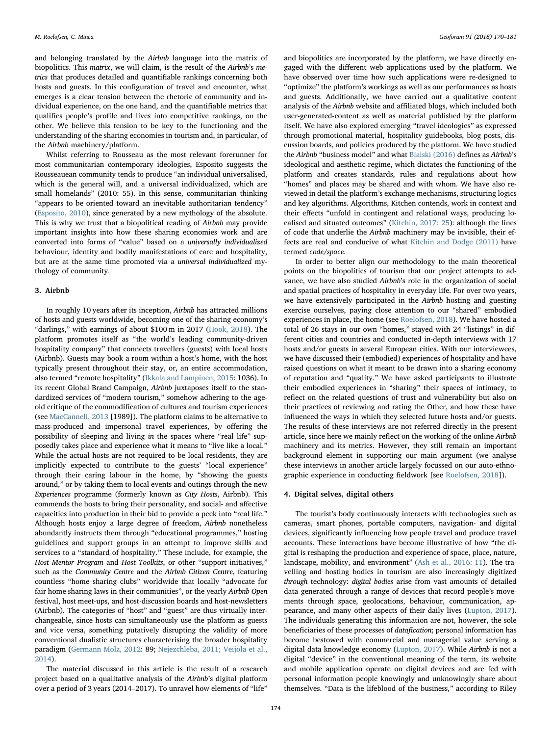and belonging translated by the Airbnb language into the matrix of biopolitics. This matrix, we will claim, is the result of the Airbnb's metrics that produces detailed and quantifiable rankings concerning both hosts and guests. In this configuration of travel and encounter, what emerges is a clear tension between the rhetoric of community and individual experience, on the one hand, and the quantifiable metrics that qualifies people's profile and lives into competitive rankings, on the other. We believe this tension to be key to the functioning and the understanding of the sharing economies in tourism and, in particular, of the Airbnb machinery/platform.

Whilst referring to Rousseau as the most relevant forerunner for most communitarian contemporary ideologies, Esposito suggests the Rousseauean community tends to produce "an individual universalised, which is the general will, and a universal individualized, which are small homelands" (2010: 55). In this sense, communitarian thinking "appears to be oriented toward an inevitable authoritarian tendency" ([Esposito, 2010\)](#page-9-28), since generated by a new mythology of the absolute. This is why we trust that a biopolitical reading of Airbnb may provide important insights into how these sharing economies work and are converted into forms of "value" based on a universally individualized behaviour, identity and bodily manifestations of care and hospitality, but are at the same time promoted via a universal individualized mythology of community.

# 3. Airbnb

In roughly 10 years after its inception, Airbnb has attracted millions of hosts and guests worldwide, becoming one of the sharing economy's "darlings," with earnings of about \$100 m in 2017 [\(Hook, 2018](#page-11-1)). The platform promotes itself as "the world's leading community-driven hospitality company" that connects travellers (guests) with local hosts (Airbnb). Guests may book a room within a host's home, with the host typically present throughout their stay, or, an entire accommodation, also termed "remote hospitality" ([Ikkala and Lampinen, 2015](#page-9-30): 1036). In its recent Global Brand Campaign, Airbnb juxtaposes itself to the standardized services of "modern tourism," somehow adhering to the ageold critique of the commodification of cultures and tourism experiences (see [MacCannell, 2013](#page-10-11) [1989]). The platform claims to be alternative to mass-produced and impersonal travel experiences, by offering the possibility of sleeping and living in the spaces where "real life" supposedly takes place and experience what it means to "live like a local." While the actual hosts are not required to be local residents, they are implicitly expected to contribute to the guests' "local experience" through their caring labour in the home, by "showing the guests around," or by taking them to local events and outings through the new Experiences programme (formerly known as City Hosts, Airbnb). This commends the hosts to bring their personality, and social- and affective capacities into production in their bid to provide a peek into "real life." Although hosts enjoy a large degree of freedom, Airbnb nonetheless abundantly instructs them through "educational programmes," hosting guidelines and support groups in an attempt to improve skills and services to a "standard of hospitality." These include, for example, the Host Mentor Program and Host Toolkits, or other "support initiatives," such as the Community Centre and the Airbnb Citizen Centre, featuring countless "home sharing clubs" worldwide that locally "advocate for fair home sharing laws in their communities", or the yearly Airbnb Open festival, host meet-ups, and host-discussion boards and host-newsletters (Airbnb). The categories of "host" and "guest" are thus virtually interchangeable, since hosts can simultaneously use the platform as guests and vice versa, something putatively disrupting the validity of more conventional dualistic structures characterising the broader hospitality paradigm ([Germann Molz, 2012](#page-9-1): 89; [Nejezchleba, 2011; Veijola et al.,](#page-10-12) [2014\)](#page-10-12).

The material discussed in this article is the result of a research project based on a qualitative analysis of the Airbnb's digital platform over a period of 3 years (2014–2017). To unravel how elements of "life"

and biopolitics are incorporated by the platform, we have directly engaged with the different web applications used by the platform. We have observed over time how such applications were re-designed to "optimize" the platform's workings as well as our performances as hosts and guests. Additionally, we have carried out a qualitative content analysis of the Airbnb website and affiliated blogs, which included both user-generated-content as well as material published by the platform itself. We have also explored emerging "travel ideologies" as expressed through promotional material, hospitality guidebooks, blog posts, discussion boards, and policies produced by the platform. We have studied the Airbnb "business model" and what [Bialski \(2016\)](#page-9-19) defines as Airbnb's ideological and aesthetic regime, which dictates the functioning of the platform and creates standards, rules and regulations about how "homes" and places may be shared and with whom. We have also reviewed in detail the platform's exchange mechanisms, structuring logics and key algorithms. Algorithms, Kitchen contends, work in context and their effects "unfold in contingent and relational ways, producing localised and situated outcomes" ([Kitchin, 2017: 25](#page-10-13)): although the lines of code that underlie the Airbnb machinery may be invisible, their effects are real and conducive of what [Kitchin and Dodge \(2011\)](#page-10-14) have termed code/space.

In order to better align our methodology to the main theoretical points on the biopolitics of tourism that our project attempts to advance, we have also studied Airbnb's role in the organization of social and spatial practices of hospitality in everyday life. For over two years, we have extensively participated in the Airbnb hosting and guesting exercise ourselves, paying close attention to our "shared" embodied experiences in place, the home (see [Roelofsen, 2018\)](#page-10-1). We have hosted a total of 26 stays in our own "homes," stayed with 24 "listings" in different cities and countries and conducted in-depth interviews with 17 hosts and/or guests in several European cities. With our interviewees, we have discussed their (embodied) experiences of hospitality and have raised questions on what it meant to be drawn into a sharing economy of reputation and "quality." We have asked participants to illustrate their embodied experiences in "sharing" their spaces of intimacy, to reflect on the related questions of trust and vulnerability but also on their practices of reviewing and rating the Other, and how these have influenced the ways in which they selected future hosts and/or guests. The results of these interviews are not referred directly in the present article, since here we mainly reflect on the working of the online Airbnb machinery and its metrics. However, they still remain an important background element in supporting our main argument (we analyse these interviews in another article largely focussed on our auto-ethnographic experience in conducting fieldwork [see [Roelofsen, 2018](#page-10-1)]).

## 4. Digital selves, digital others

The tourist's body continuously interacts with technologies such as cameras, smart phones, portable computers, navigation- and digital devices, significantly influencing how people travel and produce travel accounts. These interactions have become illustrative of how "the digital is reshaping the production and experience of space, place, nature, landscape, mobility, and environment" ([Ash et al., 2016: 11](#page-9-31)). The travelling and hosting bodies in tourism are also increasingly digitized through technology: digital bodies arise from vast amounts of detailed data generated through a range of devices that record people's movements through space, geolocations, behaviour, communication, appearance, and many other aspects of their daily lives [\(Lupton, 2017](#page-10-15)). The individuals generating this information are not, however, the sole beneficiaries of these processes of datafication; personal information has become bestowed with commercial and managerial value serving a digital data knowledge economy ([Lupton, 2017](#page-10-15)). While Airbnb is not a digital "device" in the conventional meaning of the term, its website and mobile application operate on digital devices and are fed with personal information people knowingly and unknowingly share about themselves. "Data is the lifeblood of the business," according to Riley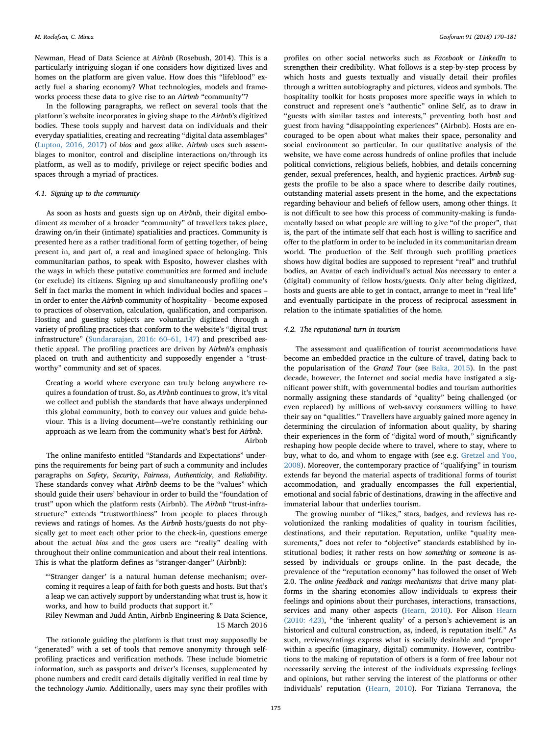Newman, Head of Data Science at Airbnb (Rosebush, 2014). This is a particularly intriguing slogan if one considers how digitized lives and homes on the platform are given value. How does this "lifeblood" exactly fuel a sharing economy? What technologies, models and frameworks process these data to give rise to an Airbnb "community"?

In the following paragraphs, we reflect on several tools that the platform's website incorporates in giving shape to the Airbnb's digitized bodies. These tools supply and harvest data on individuals and their everyday spatialities, creating and recreating "digital data assemblages" ([Lupton, 2016, 2017](#page-10-16)) of bios and geos alike. Airbnb uses such assemblages to monitor, control and discipline interactions on/through its platform, as well as to modify, privilege or reject specific bodies and spaces through a myriad of practices.

# 4.1. Signing up to the community

As soon as hosts and guests sign up on Airbnb, their digital embodiment as member of a broader "community" of travellers takes place, drawing on/in their (intimate) spatialities and practices. Community is presented here as a rather traditional form of getting together, of being present in, and part of, a real and imagined space of belonging. This communitarian pathos, to speak with Esposito, however clashes with the ways in which these putative communities are formed and include (or exclude) its citizens. Signing up and simultaneously profiling one's Self in fact marks the moment in which individual bodies and spaces – in order to enter the Airbnb community of hospitality – become exposed to practices of observation, calculation, qualification, and comparison. Hosting and guesting subjects are voluntarily digitized through a variety of profiling practices that conform to the website's "digital trust infrastructure" ([Sundararajan, 2016: 60](#page-10-17)–61, 147) and prescribed aesthetic appeal. The profiling practices are driven by Airbnb's emphasis placed on truth and authenticity and supposedly engender a "trustworthy" community and set of spaces.

Creating a world where everyone can truly belong anywhere requires a foundation of trust. So, as Airbnb continues to grow, it's vital we collect and publish the standards that have always underpinned this global community, both to convey our values and guide behaviour. This is a living document—we're constantly rethinking our approach as we learn from the community what's best for Airbnb. Airbnb

The online manifesto entitled "Standards and Expectations" underpins the requirements for being part of such a community and includes paragraphs on Safety, Security, Fairness, Authenticity, and Reliability. These standards convey what Airbnb deems to be the "values" which should guide their users' behaviour in order to build the "foundation of trust" upon which the platform rests (Airbnb). The Airbnb "trust-infrastructure" extends "trustworthiness" from people to places through reviews and ratings of homes. As the Airbnb hosts/guests do not physically get to meet each other prior to the check-in, questions emerge about the actual bios and the geos users are "really" dealing with throughout their online communication and about their real intentions. This is what the platform defines as "stranger-danger" (Airbnb):

"'Stranger danger' is a natural human defense mechanism; overcoming it requires a leap of faith for both guests and hosts. But that's a leap we can actively support by understanding what trust is, how it works, and how to build products that support it."

Riley Newman and Judd Antin, Airbnb Engineering & Data Science, 15 March 2016

The rationale guiding the platform is that trust may supposedly be "generated" with a set of tools that remove anonymity through selfprofiling practices and verification methods. These include biometric information, such as passports and driver's licenses, supplemented by phone numbers and credit card details digitally verified in real time by the technology Jumio. Additionally, users may sync their profiles with

profiles on other social networks such as Facebook or LinkedIn to strengthen their credibility. What follows is a step-by-step process by which hosts and guests textually and visually detail their profiles through a written autobiography and pictures, videos and symbols. The hospitality toolkit for hosts proposes more specific ways in which to construct and represent one's "authentic" online Self, as to draw in "guests with similar tastes and interests," preventing both host and guest from having "disappointing experiences" (Airbnb). Hosts are encouraged to be open about what makes their space, personality and social environment so particular. In our qualitative analysis of the website, we have come across hundreds of online profiles that include political convictions, religious beliefs, hobbies, and details concerning gender, sexual preferences, health, and hygienic practices. Airbnb suggests the profile to be also a space where to describe daily routines, outstanding material assets present in the home, and the expectations regarding behaviour and beliefs of fellow users, among other things. It is not difficult to see how this process of community-making is fundamentally based on what people are willing to give "of the proper", that is, the part of the intimate self that each host is willing to sacrifice and offer to the platform in order to be included in its communitarian dream world. The production of the Self through such profiling practices shows how digital bodies are supposed to represent "real" and truthful bodies, an Avatar of each individual's actual bios necessary to enter a (digital) community of fellow hosts/guests. Only after being digitized, hosts and guests are able to get in contact, arrange to meet in "real life" and eventually participate in the process of reciprocal assessment in relation to the intimate spatialities of the home.

### 4.2. The reputational turn in tourism

The assessment and qualification of tourist accommodations have become an embedded practice in the culture of travel, dating back to the popularisation of the Grand Tour (see [Baka, 2015\)](#page-9-32). In the past decade, however, the Internet and social media have instigated a significant power shift, with governmental bodies and tourism authorities normally assigning these standards of "quality" being challenged (or even replaced) by millions of web-savvy consumers willing to have their say on "qualities." Travellers have arguably gained more agency in determining the circulation of information about quality, by sharing their experiences in the form of "digital word of mouth," significantly reshaping how people decide where to travel, where to stay, where to buy, what to do, and whom to engage with (see e.g. [Gretzel and Yoo,](#page-9-33) [2008\)](#page-9-33). Moreover, the contemporary practice of "qualifying" in tourism extends far beyond the material aspects of traditional forms of tourist accommodation, and gradually encompasses the full experiential, emotional and social fabric of destinations, drawing in the affective and immaterial labour that underlies tourism.

The growing number of "likes," stars, badges, and reviews has revolutionized the ranking modalities of quality in tourism facilities, destinations, and their reputation. Reputation, unlike "quality measurements," does not refer to "objective" standards established by institutional bodies; it rather rests on how something or someone is assessed by individuals or groups online. In the past decade, the prevalence of the "reputation economy" has followed the onset of Web 2.0. The online feedback and ratings mechanisms that drive many platforms in the sharing economies allow individuals to express their feelings and opinions about their purchases, interactions, transactions, services and many other aspects ([Hearn, 2010](#page-9-34)). For Alison [Hearn](#page-9-34) [\(2010: 423\)](#page-9-34), "the 'inherent quality' of a person's achievement is an historical and cultural construction, as, indeed, is reputation itself." As such, reviews/ratings express what is socially desirable and "proper" within a specific (imaginary, digital) community. However, contributions to the making of reputation of others is a form of free labour not necessarily serving the interest of the individuals expressing feelings and opinions, but rather serving the interest of the platforms or other individuals' reputation ([Hearn, 2010\)](#page-9-34). For Tiziana Terranova, the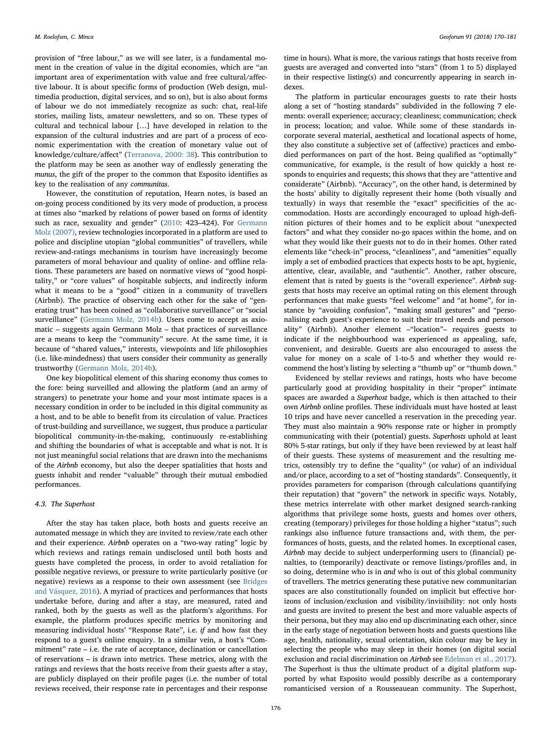provision of "free labour," as we will see later, is a fundamental moment in the creation of value in the digital economies, which are "an important area of experimentation with value and free cultural/affective labour. It is about specific forms of production (Web design, multimedia production, digital services, and so on), but is also about forms of labour we do not immediately recognize as such: chat, real-life stories, mailing lists, amateur newsletters, and so on. These types of cultural and technical labour […] have developed in relation to the expansion of the cultural industries and are part of a process of economic experimentation with the creation of monetary value out of knowledge/culture/affect" [\(Terranova, 2000: 38\)](#page-10-18). This contribution to the platform may be seen as another way of endlessly generating the munus, the gift of the proper to the common that Esposito identifies as key to the realisation of any communitas.

However, the constitution of reputation, Hearn notes, is based an on-going process conditioned by its very mode of production, a process at times also "marked by relations of power based on forms of identity such as race, sexuality and gender" [\(2010](#page-9-34): 423–424). For [Germann](#page-9-7) [Molz \(2007\),](#page-9-7) review technologies incorporated in a platform are used to police and discipline utopian "global communities" of travellers, while review-and-ratings mechanisms in tourism have increasingly become parameters of moral behaviour and quality of online- and offline relations. These parameters are based on normative views of "good hospitality," or "core values" of hospitable subjects, and indirectly inform what it means to be a "good" citizen in a community of travellers (Airbnb). The practice of observing each other for the sake of "generating trust" has been coined as "collaborative surveillance" or "social surveillance" ([Germann Molz, 2014b](#page-9-35)). Users come to accept as axiomatic – suggests again Germann Molz – that practices of surveillance are a means to keep the "community" secure. At the same time, it is because of "shared values," interests, viewpoints and life philosophies (i.e. like-mindedness) that users consider their community as generally trustworthy ([Germann Molz, 2014b](#page-9-35)).

One key biopolitical element of this sharing economy thus comes to the fore: being surveilled and allowing the platform (and an army of strangers) to penetrate your home and your most intimate spaces is a necessary condition in order to be included in this digital community as a host, and to be able to benefit from its circulation of value. Practices of trust-building and surveillance, we suggest, thus produce a particular biopolitical community-in-the-making, continuously re-establishing and shifting the boundaries of what is acceptable and what is not. It is not just meaningful social relations that are drawn into the mechanisms of the Airbnb economy, but also the deeper spatialities that hosts and guests inhabit and render "valuable" through their mutual embodied performances.

#### 4.3. The Superhost

After the stay has taken place, both hosts and guests receive an automated message in which they are invited to review/rate each other and their experience. Airbnb operates on a "two-way rating" logic by which reviews and ratings remain undisclosed until both hosts and guests have completed the process, in order to avoid retaliation for possible negative reviews, or pressure to write particularly positive (or negative) reviews as a response to their own assessment (see [Bridges](#page-9-13) [and Vásquez, 2016](#page-9-13)). A myriad of practices and performances that hosts undertake before, during and after a stay, are measured, rated and ranked, both by the guests as well as the platform's algorithms. For example, the platform produces specific metrics by monitoring and measuring individual hosts' "Response Rate", i.e. if and how fast they respond to a guest's online enquiry. In a similar vein, a host's "Commitment" rate – i.e. the rate of acceptance, declination or cancellation of reservations – is drawn into metrics. These metrics, along with the ratings and reviews that the hosts receive from their guests after a stay, are publicly displayed on their profile pages (i.e. the number of total reviews received, their response rate in percentages and their response

time in hours). What is more, the various ratings that hosts receive from guests are averaged and converted into "stars" (from 1 to 5) displayed in their respective listing(s) and concurrently appearing in search indexes.

The platform in particular encourages guests to rate their hosts along a set of "hosting standards" subdivided in the following 7 elements: overall experience; accuracy; cleanliness; communication; check in process; location; and value. While some of these standards incorporate several material, aesthetical and locational aspects of home, they also constitute a subjective set of (affective) practices and embodied performances on part of the host. Being qualified as "optimally" communicative, for example, is the result of how quickly a host responds to enquiries and requests; this shows that they are "attentive and considerate" (Airbnb). "Accuracy", on the other hand, is determined by the hosts' ability to digitally represent their home (both visually and textually) in ways that resemble the "exact" specificities of the accommodation. Hosts are accordingly encouraged to upload high-definition pictures of their homes and to be explicit about "unexpected factors" and what they consider no-go spaces within the home, and on what they would like their guests not to do in their homes. Other rated elements like "check-in" process, "cleanliness", and "amenities" equally imply a set of embodied practices that expects hosts to be apt, hygienic, attentive, clear, available, and "authentic". Another, rather obscure, element that is rated by guests is the "overall experience". Airbnb suggests that hosts may receive an optimal rating on this element through performances that make guests "feel welcome" and "at home", for instance by "avoiding confusion", "making small gestures" and "personalising each guest's experience to suit their travel needs and personality" (Airbnb). Another element –"location"– requires guests to indicate if the neighbourhood was experienced as appealing, safe, convenient, and desirable. Guests are also encouraged to assess the value for money on a scale of 1-to-5 and whether they would recommend the host's listing by selecting a "thumb up" or "thumb down."

Evidenced by stellar reviews and ratings, hosts who have become particularly good at providing hospitality in their "proper" intimate spaces are awarded a Superhost badge, which is then attached to their own Airbnb online profiles. These individuals must have hosted at least 10 trips and have never cancelled a reservation in the preceding year. They must also maintain a 90% response rate or higher in promptly communicating with their (potential) guests. Superhosts uphold at least 80% 5-star ratings, but only if they have been reviewed by at least half of their guests. These systems of measurement and the resulting metrics, ostensibly try to define the "quality" (or value) of an individual and/or place, according to a set of "hosting standards". Consequently, it provides parameters for comparison (through calculations quantifying their reputation) that "govern" the network in specific ways. Notably, these metrics interrelate with other market designed search-ranking algorithms that privilege some hosts, guests and homes over others, creating (temporary) privileges for those holding a higher "status"; such rankings also influence future transactions and, with them, the performances of hosts, guests, and the related homes. In exceptional cases, Airbnb may decide to subject underperforming users to (financial) penalties, to (temporarily) deactivate or remove listings/profiles and, in so doing, determine who is in and who is out of this global community of travellers. The metrics generating these putative new communitarian spaces are also constitutionally founded on implicit but effective horizons of inclusion/exclusion and visibility/invisibility: not only hosts and guests are invited to present the best and more valuable aspects of their persona, but they may also end up discriminating each other, since in the early stage of negotiation between hosts and guests questions like age, health, nationality, sexual orientation, skin colour may be key in selecting the people who may sleep in their homes (on digital social exclusion and racial discrimination on Airbnb see [Edelman et al., 2017](#page-9-18)). The Superhost is thus the ultimate product of a digital platform supported by what Esposito would possibly describe as a contemporary romanticised version of a Rousseauean community. The Superhost,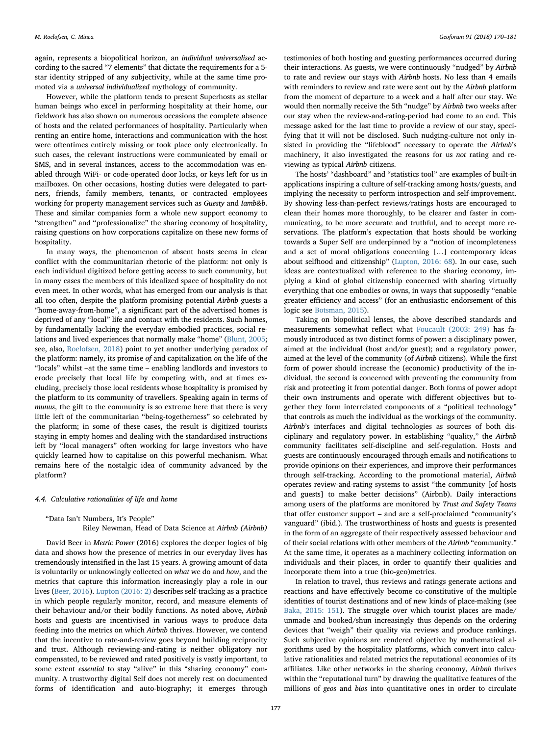again, represents a biopolitical horizon, an individual universalised according to the sacred "7 elements" that dictate the requirements for a 5 star identity stripped of any subjectivity, while at the same time promoted via a universal individualized mythology of community.

However, while the platform tends to present Superhosts as stellar human beings who excel in performing hospitality at their home, our fieldwork has also shown on numerous occasions the complete absence of hosts and the related performances of hospitality. Particularly when renting an entire home, interactions and communication with the host were oftentimes entirely missing or took place only electronically. In such cases, the relevant instructions were communicated by email or SMS, and in several instances, access to the accommodation was enabled through WiFi- or code-operated door locks, or keys left for us in mailboxes. On other occasions, hosting duties were delegated to partners, friends, family members, tenants, or contracted employees working for property management services such as Guesty and Iamb&b. These and similar companies form a whole new support economy to "strengthen" and "professionalize" the sharing economy of hospitality, raising questions on how corporations capitalize on these new forms of hospitality.

In many ways, the phenomenon of absent hosts seems in clear conflict with the communitarian rhetoric of the platform: not only is each individual digitized before getting access to such community, but in many cases the members of this idealized space of hospitality do not even meet. In other words, what has emerged from our analysis is that all too often, despite the platform promising potential Airbnb guests a "home-away-from-home", a significant part of the advertised homes is deprived of any "local" life and contact with the residents. Such homes, by fundamentally lacking the everyday embodied practices, social relations and lived experiences that normally make "home" [\(Blunt, 2005](#page-9-36); see, also, [Roelofsen, 2018\)](#page-10-1) point to yet another underlying paradox of the platform: namely, its promise of and capitalization on the life of the "locals" whilst –at the same time – enabling landlords and investors to erode precisely that local life by competing with, and at times excluding, precisely those local residents whose hospitality is promised by the platform to its community of travellers. Speaking again in terms of munus, the gift to the community is so extreme here that there is very little left of the communitarian "being-togetherness" so celebrated by the platform; in some of these cases, the result is digitized tourists staying in empty homes and dealing with the standardised instructions left by "local managers" often working for large investors who have quickly learned how to capitalise on this powerful mechanism. What remains here of the nostalgic idea of community advanced by the platform?

### 4.4. Calculative rationalities of life and home

"Data Isn't Numbers, It's People"

Riley Newman, Head of Data Science at Airbnb (Airbnb)

David Beer in Metric Power (2016) explores the deeper logics of big data and shows how the presence of metrics in our everyday lives has tremendously intensified in the last 15 years. A growing amount of data is voluntarily or unknowingly collected on what we do and how, and the metrics that capture this information increasingly play a role in our lives ([Beer, 2016\)](#page-9-37). [Lupton \(2016: 2\)](#page-10-16) describes self-tracking as a practice in which people regularly monitor, record, and measure elements of their behaviour and/or their bodily functions. As noted above, Airbnb hosts and guests are incentivised in various ways to produce data feeding into the metrics on which Airbnb thrives. However, we contend that the incentive to rate-and-review goes beyond building reciprocity and trust. Although reviewing-and-rating is neither obligatory nor compensated, to be reviewed and rated positively is vastly important, to some extent essential to stay "alive" in this "sharing economy" community. A trustworthy digital Self does not merely rest on documented forms of identification and auto-biography; it emerges through

testimonies of both hosting and guesting performances occurred during their interactions. As guests, we were continuously "nudged" by Airbnb to rate and review our stays with Airbnb hosts. No less than 4 emails with reminders to review and rate were sent out by the Airbnb platform from the moment of departure to a week and a half after our stay. We would then normally receive the 5th "nudge" by Airbnb two weeks after our stay when the review-and-rating-period had come to an end. This message asked for the last time to provide a review of our stay, specifying that it will not be disclosed. Such nudging-culture not only insisted in providing the "lifeblood" necessary to operate the Airbnb's machinery, it also investigated the reasons for us not rating and reviewing as typical Airbnb citizens.

The hosts' "dashboard" and "statistics tool" are examples of built-in applications inspiring a culture of self-tracking among hosts/guests, and implying the necessity to perform introspection and self-improvement. By showing less-than-perfect reviews/ratings hosts are encouraged to clean their homes more thoroughly, to be clearer and faster in communicating, to be more accurate and truthful, and to accept more reservations. The platform's expectation that hosts should be working towards a Super Self are underpinned by a "notion of incompleteness and a set of moral obligations concerning […] contemporary ideas about selfhood and citizenship" [\(Lupton, 2016: 68](#page-10-16)). In our case, such ideas are contextualized with reference to the sharing economy, implying a kind of global citizenship concerned with sharing virtually everything that one embodies or owns, in ways that supposedly "enable greater efficiency and access" (for an enthusiastic endorsement of this logic see [Botsman, 2015](#page-10-19)).

Taking on biopolitical lenses, the above described standards and measurements somewhat reflect what [Foucault \(2003: 249\)](#page-9-38) has famously introduced as two distinct forms of power: a disciplinary power, aimed at the individual (host and/or guest); and a regulatory power, aimed at the level of the community (of Airbnb citizens). While the first form of power should increase the (economic) productivity of the individual, the second is concerned with preventing the community from risk and protecting it from potential danger. Both forms of power adopt their own instruments and operate with different objectives but together they form interrelated components of a "political technology" that controls as much the individual as the workings of the community. Airbnb's interfaces and digital technologies as sources of both disciplinary and regulatory power. In establishing "quality," the Airbnb community facilitates self-discipline and self-regulation. Hosts and guests are continuously encouraged through emails and notifications to provide opinions on their experiences, and improve their performances through self-tracking. According to the promotional material, Airbnb operates review-and-rating systems to assist "the community [of hosts and guests] to make better decisions" (Airbnb). Daily interactions among users of the platforms are monitored by Trust and Safety Teams that offer customer support – and are a self-proclaimed "community's vanguard" (ibid.). The trustworthiness of hosts and guests is presented in the form of an aggregate of their respectively assessed behaviour and of their social relations with other members of the Airbnb "community." At the same time, it operates as a machinery collecting information on individuals and their places, in order to quantify their qualities and incorporate them into a true (bio-geo)metrics.

In relation to travel, thus reviews and ratings generate actions and reactions and have effectively become co-constitutive of the multiple identities of tourist destinations and of new kinds of place-making (see [Baka, 2015: 151\)](#page-9-32). The struggle over which tourist places are made/ unmade and booked/shun increasingly thus depends on the ordering devices that "weigh" their quality via reviews and produce rankings. Such subjective opinions are rendered objective by mathematical algorithms used by the hospitality platforms, which convert into calculative rationalities and related metrics the reputational economies of its affiliates. Like other networks in the sharing economy, Airbnb thrives within the "reputational turn" by drawing the qualitative features of the millions of geos and bios into quantitative ones in order to circulate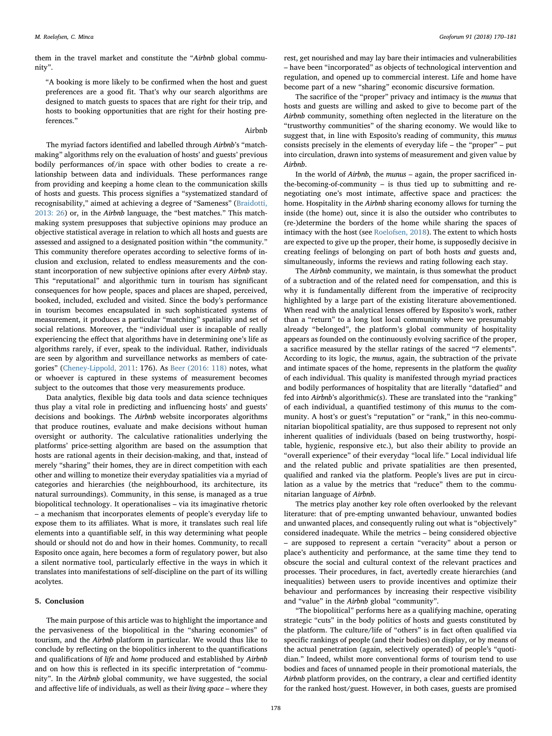them in the travel market and constitute the "Airbnb global community".

"A booking is more likely to be confirmed when the host and guest preferences are a good fit. That's why our search algorithms are designed to match guests to spaces that are right for their trip, and hosts to booking opportunities that are right for their hosting preferences."

#### Airbnb

The myriad factors identified and labelled through Airbnb's "matchmaking" algorithms rely on the evaluation of hosts' and guests' previous bodily performances of/in space with other bodies to create a relationship between data and individuals. These performances range from providing and keeping a home clean to the communication skills of hosts and guests. This process signifies a "systematized standard of recognisability," aimed at achieving a degree of "Sameness" [\(Braidotti,](#page-9-39) [2013: 26\)](#page-9-39) or, in the Airbnb language, the "best matches." This matchmaking system presupposes that subjective opinions may produce an objective statistical average in relation to which all hosts and guests are assessed and assigned to a designated position within "the community." This community therefore operates according to selective forms of inclusion and exclusion, related to endless measurements and the constant incorporation of new subjective opinions after every Airbnb stay. This "reputational" and algorithmic turn in tourism has significant consequences for how people, spaces and places are shaped, perceived, booked, included, excluded and visited. Since the body's performance in tourism becomes encapsulated in such sophisticated systems of measurement, it produces a particular "matching" spatiality and set of social relations. Moreover, the "individual user is incapable of really experiencing the effect that algorithms have in determining one's life as algorithms rarely, if ever, speak to the individual. Rather, individuals are seen by algorithm and surveillance networks as members of categories" [\(Cheney-Lippold, 2011](#page-9-40): 176). As [Beer \(2016: 118\)](#page-9-37) notes, what or whoever is captured in these systems of measurement becomes subject to the outcomes that those very measurements produce.

Data analytics, flexible big data tools and data science techniques thus play a vital role in predicting and influencing hosts' and guests' decisions and bookings. The Airbnb website incorporates algorithms that produce routines, evaluate and make decisions without human oversight or authority. The calculative rationalities underlying the platforms' price-setting algorithm are based on the assumption that hosts are rational agents in their decision-making, and that, instead of merely "sharing" their homes, they are in direct competition with each other and willing to monetize their everyday spatialities via a myriad of categories and hierarchies (the neighbourhood, its architecture, its natural surroundings). Community, in this sense, is managed as a true biopolitical technology. It operationalises – via its imaginative rhetoric – a mechanism that incorporates elements of people's everyday life to expose them to its affiliates. What is more, it translates such real life elements into a quantifiable self, in this way determining what people should or should not do and how in their homes. Community, to recall Esposito once again, here becomes a form of regulatory power, but also a silent normative tool, particularly effective in the ways in which it translates into manifestations of self-discipline on the part of its willing acolytes.

# 5. Conclusion

The main purpose of this article was to highlight the importance and the pervasiveness of the biopolitical in the "sharing economies" of tourism, and the Airbnb platform in particular. We would thus like to conclude by reflecting on the biopolitics inherent to the quantifications and qualifications of life and home produced and established by Airbnb and on how this is reflected in its specific interpretation of "community". In the Airbnb global community, we have suggested, the social and affective life of individuals, as well as their living space – where they

rest, get nourished and may lay bare their intimacies and vulnerabilities – have been "incorporated" as objects of technological intervention and regulation, and opened up to commercial interest. Life and home have become part of a new "sharing" economic discursive formation.

The sacrifice of the "proper" privacy and intimacy is the munus that hosts and guests are willing and asked to give to become part of the Airbnb community, something often neglected in the literature on the "trustworthy communities" of the sharing economy. We would like to suggest that, in line with Esposito's reading of community, this munus consists precisely in the elements of everyday life – the "proper" – put into circulation, drawn into systems of measurement and given value by Airbnb.

In the world of Airbnb, the munus – again, the proper sacrificed inthe-becoming-of-community – is thus tied up to submitting and renegotiating one's most intimate, affective space and practices: the home. Hospitality in the Airbnb sharing economy allows for turning the inside (the home) out, since it is also the outsider who contributes to (re-)determine the borders of the home while sharing the spaces of intimacy with the host (see [Roelofsen, 2018](#page-10-1)). The extent to which hosts are expected to give up the proper, their home, is supposedly decisive in creating feelings of belonging on part of both hosts and guests and, simultaneously, informs the reviews and rating following each stay.

The Airbnb community, we maintain, is thus somewhat the product of a subtraction and of the related need for compensation, and this is why it is fundamentally different from the imperative of reciprocity highlighted by a large part of the existing literature abovementioned. When read with the analytical lenses offered by Esposito's work, rather than a "return" to a long lost local community where we presumably already "belonged", the platform's global community of hospitality appears as founded on the continuously evolving sacrifice of the proper, a sacrifice measured by the stellar ratings of the sacred "7 elements". According to its logic, the munus, again, the subtraction of the private and intimate spaces of the home, represents in the platform the quality of each individual. This quality is manifested through myriad practices and bodily performances of hospitality that are literally "datafied" and fed into Airbnb's algorithmic(s). These are translated into the "ranking" of each individual, a quantified testimony of this munus to the community. A host's or guest's "reputation" or "rank," in this neo-communitarian biopolitical spatiality, are thus supposed to represent not only inherent qualities of individuals (based on being trustworthy, hospitable, hygienic, responsive etc.), but also their ability to provide an "overall experience" of their everyday "local life." Local individual life and the related public and private spatialities are then presented, qualified and ranked via the platform. People's lives are put in circulation as a value by the metrics that "reduce" them to the communitarian language of Airbnb.

The metrics play another key role often overlooked by the relevant literature: that of pre-empting unwanted behaviour, unwanted bodies and unwanted places, and consequently ruling out what is "objectively" considered inadequate. While the metrics – being considered objective – are supposed to represent a certain "veracity" about a person or place's authenticity and performance, at the same time they tend to obscure the social and cultural context of the relevant practices and processes. Their procedures, in fact, avertedly create hierarchies (and inequalities) between users to provide incentives and optimize their behaviour and performances by increasing their respective visibility and "value" in the Airbnb global "community".

"The biopolitical" performs here as a qualifying machine, operating strategic "cuts" in the body politics of hosts and guests constituted by the platform. The culture/life of "others" is in fact often qualified via specific rankings of people (and their bodies) on display, or by means of the actual penetration (again, selectively operated) of people's "quotidian." Indeed, whilst more conventional forms of tourism tend to use bodies and faces of unnamed people in their promotional materials, the Airbnb platform provides, on the contrary, a clear and certified identity for the ranked host/guest. However, in both cases, guests are promised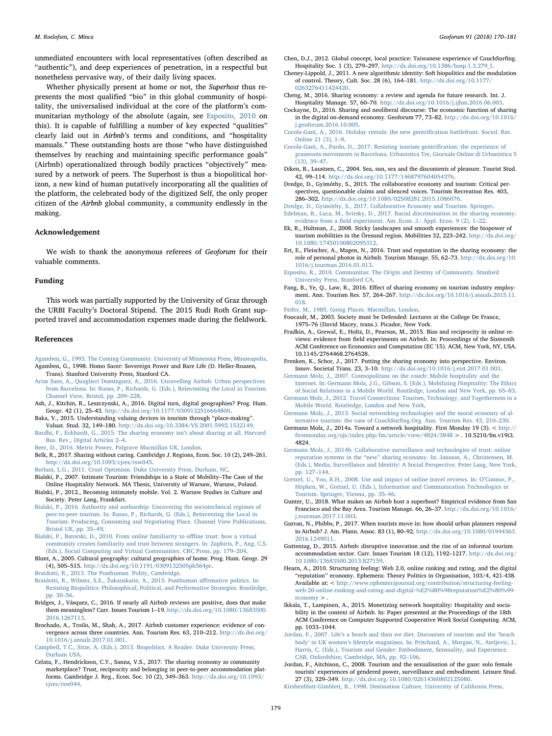unmediated encounters with local representatives (often described as "authentic"), and deep experiences of penetration, in a respectful but nonetheless pervasive way, of their daily living spaces.

Whether physically present at home or not, the Superhost thus represents the most qualified "bio" in this global community of hospitality, the universalised individual at the core of the platform's communitarian mythology of the absolute (again, see [Esposito, 2010](#page-9-28) on this). It is capable of fulfilling a number of key expected "qualities" clearly laid out in Airbnb's terms and conditions, and "hospitality manuals." These outstanding hosts are those "who have distinguished themselves by reaching and maintaining specific performance goals" (Airbnb) operationalized through bodily practices "objectively" measured by a network of peers. The Superhost is thus a biopolitical horizon, a new kind of human putatively incorporating all the qualities of the platform, the celebrated body of the digitized Self, the only proper citizen of the Airbnb global community, a community endlessly in the making.

#### Acknowledgement

We wish to thank the anonymous referees of Geoforum for their valuable comments.

#### Funding

This work was partially supported by the University of Graz through the URBI Faculty's Doctoral Stipend. The 2015 Rudi Roth Grant supported travel and accommodation expenses made during the fieldwork.

#### References

- <span id="page-9-29"></span><span id="page-9-24"></span>[Agamben, G., 1993. The Coming Community. University of Minnesota Press, Minneapolis.](http://refhub.elsevier.com/S0016-7185(18)30057-5/h0005) Agamben, G., 1998. Homo Sacer: Sovereign Power and Bare Life (D. Heller-Roazen, Trans). Stanford University Press, Stanford CA.
- <span id="page-9-16"></span>[Arias Sans, A., Quaglieri Domínguez, A., 2016. Unravelling Airbnb. Urban perspectives](http://refhub.elsevier.com/S0016-7185(18)30057-5/h0015) [from Barcelona. In: Russo, P., Richards, G. \(Eds.\), Reinventing the Local in Tourism.](http://refhub.elsevier.com/S0016-7185(18)30057-5/h0015) [Channel View, Bristol, pp. 209](http://refhub.elsevier.com/S0016-7185(18)30057-5/h0015)–228.
- <span id="page-9-31"></span>Ash, J., Kitchin, R., Leszczynski, A., 2016. Digital turn, digital geographies? Prog. Hum. Geogr. 42 (1), 25–43. [http://dx.doi.org/10.1177/0309132516664800.](http://dx.doi.org/10.1177/0309132516664800)
- <span id="page-9-32"></span>Baka, V., 2015. Understanding valuing devices in tourism through "place-making". Valuat. Stud. 32, 149–180. <http://dx.doi.org/10.3384/VS.2001-5992.1532149>.
- <span id="page-9-22"></span>[Bardhi, F., Eckhardt, G., 2015. The sharing economy isn](http://refhub.elsevier.com/S0016-7185(18)30057-5/h0030)'t about sharing at all. Harvard [Bus. Rev., Digital Articles 2](http://refhub.elsevier.com/S0016-7185(18)30057-5/h0030)–4.
- <span id="page-9-37"></span>[Beer, D., 2016. Metric Power. Palgrave Macmillan UK, London.](http://refhub.elsevier.com/S0016-7185(18)30057-5/h0035)
- <span id="page-9-3"></span>Belk, R., 2017. Sharing without caring. Cambridge J. Regions, Econ. Soc. 10 (2), 249–261. <http://dx.doi.org/10.1093/cjres/rsw045>.

<span id="page-9-25"></span>[Berlant, L.G., 2011. Cruel Optimism. Duke University Press, Durham, NC.](http://refhub.elsevier.com/S0016-7185(18)30057-5/h0045)

- <span id="page-9-9"></span>Bialski, P., 2007. Intimate Tourism: Friendships in a State of Mobility–The Case of the Online Hospitality Network. MA Thesis, University of Warsaw, Warsaw, Poland.
- Bialski, P., 2012., Becoming intimately mobile. Vol. 2. Warsaw Studies in Culture and Society. Peter Lang, Frankfurt.
- <span id="page-9-19"></span>[Bialski, P., 2016. Authority and authorship: Uncovering the sociotechnical regimes of](http://refhub.elsevier.com/S0016-7185(18)30057-5/h0060) [peer-to-peer tourism. In: Russo, P., Richards, G. \(Eds.\), Reinventing the Local in](http://refhub.elsevier.com/S0016-7185(18)30057-5/h0060) [Tourism: Producing, Consuming and Negotiating Place. Channel View Publications,](http://refhub.elsevier.com/S0016-7185(18)30057-5/h0060) [Bristol UK, pp. 35](http://refhub.elsevier.com/S0016-7185(18)30057-5/h0060)–49.
- <span id="page-9-10"></span>[Bialski, P., Batorski, D., 2010. From online familiarity to o](http://refhub.elsevier.com/S0016-7185(18)30057-5/h0065)ffline trust: how a virtual [community creates familiarity and trust between strangers. In: Zaphiris, P., Ang, C.S.](http://refhub.elsevier.com/S0016-7185(18)30057-5/h0065) [\(Eds.\), Social Computing and Virtual Communities. CRC Press, pp. 179](http://refhub.elsevier.com/S0016-7185(18)30057-5/h0065)–204.
- <span id="page-9-36"></span>Blunt, A., 2005. Cultural geography: cultural geographies of home. Prog. Hum. Geogr. 29 (4), 505–515. <http://dx.doi.org/10.1191/0309132505ph564pr>.
- <span id="page-9-39"></span>[Braidotti, R., 2013. The Posthuman. Polity, Cambridge.](http://refhub.elsevier.com/S0016-7185(18)30057-5/h0075)
- Braidotti, R., Wilmer, S.E., Ž[ukauskaite, A., 2015. Posthuman a](http://refhub.elsevier.com/S0016-7185(18)30057-5/h0080)ffirmative politics. In: [Resisting Biopolitics: Philosophical, Political, and Performative Strategies. Routledge,](http://refhub.elsevier.com/S0016-7185(18)30057-5/h0080) [pp. 30](http://refhub.elsevier.com/S0016-7185(18)30057-5/h0080)–56.
- <span id="page-9-13"></span>Bridges, J., Vásquez, C., 2016. If nearly all Airbnb reviews are positive, does that make them meaningless? Curr. Issues Tourism 1-19. [http://dx.doi.org/10.1080/13683500.](http://dx.doi.org/10.1080/13683500.2016.1267113) [2016.1267113.](http://dx.doi.org/10.1080/13683500.2016.1267113)
- <span id="page-9-15"></span>Brochado, A., Troilo, M., Shah, A., 2017. Airbnb customer experience: evidence of convergence across three countries. Ann. Tourism Res. 63, 210-212. [http://dx.doi.org/](http://dx.doi.org/10.1016/j.annals.2017.01.001) [10.1016/j.annals.2017.01.001](http://dx.doi.org/10.1016/j.annals.2017.01.001).
- <span id="page-9-23"></span>[Campbell, T.C., Sitze, A. \(Eds.\), 2013. Biopolitics. A Reader. Duke University Press,](http://refhub.elsevier.com/S0016-7185(18)30057-5/h0095) [Durham USA.](http://refhub.elsevier.com/S0016-7185(18)30057-5/h0095)
- <span id="page-9-12"></span>Celata, F., Hendrickson, C.Y., Sanna, V.S., 2017. The sharing economy as community marketplace? Trust, reciprocity and belonging in peer-to-peer accommodation platforms. Cambridge J. Reg., Econ. Soc. 10 (2), 349–363. [http://dx.doi.org/10.1093/](http://dx.doi.org/10.1093/cjres/rsw044) [cjres/rsw044](http://dx.doi.org/10.1093/cjres/rsw044).
- <span id="page-9-21"></span>Chen, D.J., 2012. Global concept, local practice: Taiwanese experience of CouchSurfing. Hospitality Soc. 1 (3), 279–297. [http://dx.doi.org/10.1386/hosp.1.3.279\\_1](http://dx.doi.org/10.1386/hosp.1.3.279_1).
- <span id="page-9-40"></span>Cheney-Lippold, J., 2011. A new algorithmic identity: Soft biopolitics and the modulation of control. Theory, Cult. Soc. 28 (6), 164–181. [http://dx.doi.org/10.1177/](http://dx.doi.org/10.1177/0263276411424420) [0263276411424420.](http://dx.doi.org/10.1177/0263276411424420)
- <span id="page-9-5"></span>Cheng, M., 2016. Sharing economy: a review and agenda for future research. Int. J. Hospitality Manage. 57, 60–70. <http://dx.doi.org/10.1016/j.ijhm.2016.06.003>.
- <span id="page-9-20"></span>Cockayne, D., 2016. Sharing and neoliberal discourse: The economic function of sharing in the digital on-demand economy. Geoforum 77, 73–82. [http://dx.doi.org/10.1016/](http://dx.doi.org/10.1016/j.geoforum.2016.10.005) [j.geoforum.2016.10.005.](http://dx.doi.org/10.1016/j.geoforum.2016.10.005)
- [Cocola-Gant, A., 2016. Holiday rentals: the new gentri](http://refhub.elsevier.com/S0016-7185(18)30057-5/h0125)fication battlefront. Sociol. Res. [Online 21 \(3\), 1](http://refhub.elsevier.com/S0016-7185(18)30057-5/h0125)–9.
- [Cocola-Gant, A., Pardo, D., 2017. Resisting tourism gentri](http://refhub.elsevier.com/S0016-7185(18)30057-5/h0130)fication: the experience of [grassroots movements in Barcelona. Urbanistica Tre, Giornale Online di Urbanistica 5](http://refhub.elsevier.com/S0016-7185(18)30057-5/h0130) [\(13\), 39](http://refhub.elsevier.com/S0016-7185(18)30057-5/h0130)–47.
- <span id="page-9-26"></span>Diken, B., Laustsen, C., 2004. Sea, sun, sex and the discontents of pleasure. Tourist Stud. 42, 99–114. [http://dx.doi.org/10.1177/1468797604054376.](http://dx.doi.org/10.1177/1468797604054376)
- <span id="page-9-6"></span>Dredge, D., Gyimóthy, S., 2015. The collaborative economy and tourism: Critical perspectives, questionable claims and silenced voices. Tourism Recreation Res. 403, 286–302. [http://dx.doi.org/10.1080/02508281.2015.1086076.](http://dx.doi.org/10.1080/02508281.2015.1086076)
- <span id="page-9-18"></span>[Dredge, D., Gyimóthy, S., 2017. Collaborative Economy and Tourism. Springer.](http://refhub.elsevier.com/S0016-7185(18)30057-5/h0145) [Edelman, B., Luca, M., Svirsky, D., 2017. Racial discrimination in the sharing economy:](http://refhub.elsevier.com/S0016-7185(18)30057-5/h0150) evidence from a fi[eld experiment. Am. Econ. J.: Appl. Econ. 9 \(2\), 1](http://refhub.elsevier.com/S0016-7185(18)30057-5/h0150)–22.
- Ek, R., Hultman, J., 2008. Sticky landscapes and smooth experiences: the biopower of tourism mobilities in the Öresund region. Mobilities 32, 223–242. [http://dx.doi.org/](http://dx.doi.org/10.1080/17450100802095312) [10.1080/17450100802095312](http://dx.doi.org/10.1080/17450100802095312).
- Ert, E., Fleischer, A., Magen, N., 2016. Trust and reputation in the sharing economy: the role of personal photos in Airbnb. Tourism Manage. 55, 62–73. [http://dx.doi.org/10.](http://dx.doi.org/10.1016/j.tourman.2016.01.013) [1016/j.tourman.2016.01.013](http://dx.doi.org/10.1016/j.tourman.2016.01.013).
- <span id="page-9-28"></span>[Esposito, R., 2010. Communitas: The Origin and Destiny of Community. Stanford](http://refhub.elsevier.com/S0016-7185(18)30057-5/h0165) [University Press, Stanford CA](http://refhub.elsevier.com/S0016-7185(18)30057-5/h0165).
- <span id="page-9-14"></span>Fang, B., Ye, Q., Law, R., 2016. Effect of sharing economy on tourism industry employment. Ann. Tourism Res. 57, 264–267. [http://dx.doi.org/10.1016/j.annals.2015.11.](http://dx.doi.org/10.1016/j.annals.2015.11.018) [018](http://dx.doi.org/10.1016/j.annals.2015.11.018).
- <span id="page-9-4"></span>[Feifer, M., 1985. Going Places. Macmillan, London](http://refhub.elsevier.com/S0016-7185(18)30057-5/h0175).
- <span id="page-9-38"></span>Foucault, M., 2003. Society must be Defended: Lectures at the College De France, 1975–76 (David Macey, trans.). Picador, New York.
- Fradkin, A., Grewal, E., Holtz, D., Pearson, M., 2015. Bias and reciprocity in online reviews: evidence from field experiments on Airbnb. In: Proceedings of the Sixteenth ACM Conference on Economics and Computation (EC '15). ACM, New York, NY, USA. 10.1145/2764468.2764528.
- <span id="page-9-2"></span>Frenken, K., Schor, J., 2017. Putting the sharing economy into perspective. Environ. Innov. Societal Trans. 23, 3–10. <http://dx.doi.org/10.1016/j.eist.2017.01.003>.
- <span id="page-9-7"></span>[Germann Molz, J., 2007. Cosmopolitans on the couch: Mobile hospitality and the](http://refhub.elsevier.com/S0016-7185(18)30057-5/h0195) [Internet. In: Germann Molz, J.G., Gibson, S. \(Eds.\), Mobilizing Hospitality: The Ethics](http://refhub.elsevier.com/S0016-7185(18)30057-5/h0195) [of Social Relations in a Mobile World. Routledge, London and New York, pp. 65](http://refhub.elsevier.com/S0016-7185(18)30057-5/h0195)–83. [Germann Molz, J., 2012. Travel Connections: Tourism, Technology, and Togetherness in a](http://refhub.elsevier.com/S0016-7185(18)30057-5/h0200)
- <span id="page-9-11"></span><span id="page-9-1"></span>[Mobile World. Routledge, London and New York.](http://refhub.elsevier.com/S0016-7185(18)30057-5/h0200) [Germann Molz, J., 2013. Social networking technologies and the moral economy of al-](http://refhub.elsevier.com/S0016-7185(18)30057-5/h0205)
- [ternative tourism: the case of CouchSur](http://refhub.elsevier.com/S0016-7185(18)30057-5/h0205)fing.Org. Ann. Tourism Res. 43, 210–230.
- <span id="page-9-8"></span>Germann Molz, J., 2014a. Toward a network hospitality. First Monday 19 (3). < [http://](http://firstmonday.org/ojs/index.php/fm/article/view/4824/3848) fi[rstmonday.org/ojs/index.php/fm/article/view/4824/3848](http://firstmonday.org/ojs/index.php/fm/article/view/4824/3848) > . 10.5210/fm.v19i3. 4824.
- <span id="page-9-35"></span>[Germann Molz, J., 2014b. Collaborative surveillance and technologies of trust: online](http://refhub.elsevier.com/S0016-7185(18)30057-5/h0215) reputation systems in the "new" [sharing economy. In: Jansson, A., Christensen, M.](http://refhub.elsevier.com/S0016-7185(18)30057-5/h0215) [\(Eds.\), Media, Surveillance and Identity: A Social Perspective. Peter Lang, New York,](http://refhub.elsevier.com/S0016-7185(18)30057-5/h0215) [pp. 127](http://refhub.elsevier.com/S0016-7185(18)30057-5/h0215)–144.
- <span id="page-9-33"></span>[Gretzel, U., Yoo, K.H., 2008. Use and impact of online travel reviews. In: O](http://refhub.elsevier.com/S0016-7185(18)30057-5/h0220)'Connor, P., [Höpken, W., Gretzel, U. \(Eds.\), Information and Communication Technologies in](http://refhub.elsevier.com/S0016-7185(18)30057-5/h0220) [Tourism. Springer, Vienna, pp. 35](http://refhub.elsevier.com/S0016-7185(18)30057-5/h0220)–46.
- Gunter, U., 2018. What makes an Airbnb host a superhost? Empirical evidence from San Francisco and the Bay Area. Tourism Manage. 66, 26–37. [http://dx.doi.org/10.1016/](http://dx.doi.org/10.1016/j.tourman.2017.11.003) [j.tourman.2017.11.003.](http://dx.doi.org/10.1016/j.tourman.2017.11.003)
- <span id="page-9-17"></span>Gurran, N., Phibbs, P., 2017. When tourists move in: how should urban planners respond to Airbnb? J. Am. Plann. Assoc. 83 (1), 80–92. [http://dx.doi.org/10.1080/01944363.](http://dx.doi.org/10.1080/01944363.2016.1249011) [2016.1249011.](http://dx.doi.org/10.1080/01944363.2016.1249011)
- Guttentag, D., 2015. Airbnb: disruptive innovation and the rise of an informal tourism accommodation sector. Curr. Issues Tourism 18 (12), 1192–1217. [http://dx.doi.org/](http://dx.doi.org/10.1080/13683500.2013.827159) [10.1080/13683500.2013.827159](http://dx.doi.org/10.1080/13683500.2013.827159).
- <span id="page-9-34"></span>Hearn, A., 2010. Structuring feeling: Web 2.0, online ranking and rating, and the digital "reputation" economy. Ephemera: Theory Politics in Organisation, 103/4, 421-438. Available at: < [http://www.ephemerajournal.org/contribution/structuring-feeling](http://www.ephemerajournal.org/contribution/structuring-feeling-web-20-online-ranking-and-rating-and-digital-%E2%80%98reputation%E2%80%99-economy)[web-20-online-ranking-and-rating-and-digital-%E2%80%98reputation%E2%80%99](http://www.ephemerajournal.org/contribution/structuring-feeling-web-20-online-ranking-and-rating-and-digital-%E2%80%98reputation%E2%80%99-economy) [economy](http://www.ephemerajournal.org/contribution/structuring-feeling-web-20-online-ranking-and-rating-and-digital-%E2%80%98reputation%E2%80%99-economy) > .
- <span id="page-9-30"></span>Ikkala, T., Lampinen, A., 2015. Monetizing network hospitality: Hospitality and sociability in the context of Airbnb. In: Paper presented at the Proceedings of the 18th ACM Conference on Computer Supported Cooperative Work Social Computing. ACM, pp. 1033–1044.
- <span id="page-9-0"></span>Jordan, F., 2007. Life'[s a beach and then we diet. Discourses of tourism and the](http://refhub.elsevier.com/S0016-7185(18)30057-5/h0260) 'beach body' in UK women'[s lifestyle magazines. In: Pritchard, A., Morgan, N., Ateljevic, I.,](http://refhub.elsevier.com/S0016-7185(18)30057-5/h0260) [Harris, C. \(Eds.\), Tourism and Gender: Embodiment, Sensuality, and Experience.](http://refhub.elsevier.com/S0016-7185(18)30057-5/h0260) [CAB, Oxfordshire, Cambridge, MA, pp. 92](http://refhub.elsevier.com/S0016-7185(18)30057-5/h0260)–106.
- Jordan, F., Aitchison, C., 2008. Tourism and the sexualisation of the gaze: solo female tourists' experiences of gendered power, surveillance and embodiment. Leisure Stud. 27 (3), 329–349. [http://dx.doi.org/10.1080/02614360802125080.](http://dx.doi.org/10.1080/02614360802125080)
- <span id="page-9-27"></span>[Kirshenblatt-Gimblett, B., 1998. Destination Culture. University of California Press,](http://refhub.elsevier.com/S0016-7185(18)30057-5/h0270)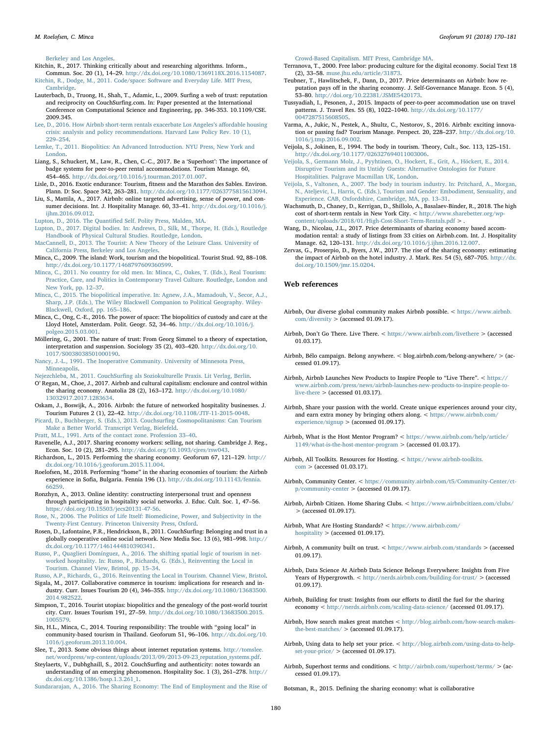[Berkeley and Los Angeles](http://refhub.elsevier.com/S0016-7185(18)30057-5/h0270).

- <span id="page-10-13"></span>Kitchin, R., 2017. Thinking critically about and researching algorithms. Inform., Commun. Soc. 20 (1), 14–29. [http://dx.doi.org/10.1080/1369118X.2016.1154087.](http://dx.doi.org/10.1080/1369118X.2016.1154087) [Kitchin, R., Dodge, M., 2011. Code/space: Software and Everyday Life. MIT Press,](http://refhub.elsevier.com/S0016-7185(18)30057-5/h0280)
- <span id="page-10-14"></span>[Cambridge](http://refhub.elsevier.com/S0016-7185(18)30057-5/h0280).
- <span id="page-10-2"></span>Lauterbach, D., Truong, H., Shah, T., Adamic, L., 2009. Surfing a web of trust: reputation and reciprocity on CouchSurfing.com. In: Paper presented at the International Conference on Computational Science and Engineering, pp. 346-353. 10.1109/CSE. 2009.345.
- [Lee, D., 2016. How Airbnb short-term rentals exacerbate Los Angeles](http://refhub.elsevier.com/S0016-7185(18)30057-5/h0290)'s affordable housing [crisis: analysis and policy recommendations. Harvard Law Policy Rev. 10 \(1\),](http://refhub.elsevier.com/S0016-7185(18)30057-5/h0290) 229–[254](http://refhub.elsevier.com/S0016-7185(18)30057-5/h0290).
- [Lemke, T., 2011. Biopolitics: An Advanced Introduction. NYU Press, New York and](http://refhub.elsevier.com/S0016-7185(18)30057-5/h0295) [London.](http://refhub.elsevier.com/S0016-7185(18)30057-5/h0295)
- Liang, S., Schuckert, M., Law, R., Chen, C.-C., 2017. Be a 'Superhost': The importance of badge systems for peer-to-peer rental accommodations. Tourism Manage. 60, 454–465. <http://dx.doi.org/10.1016/j.tourman.2017.01.007>.
- Lisle, D., 2016. Exotic endurance: Tourism, fitness and the Marathon des Sables. Environ. Plann. D: Soc. Space 342, 263–281. [http://dx.doi.org/10.1177/0263775815613094.](http://dx.doi.org/10.1177/0263775815613094)
- Liu, S., Mattila, A., 2017. Airbnb: online targeted advertising, sense of power, and consumer decisions. Int. J. Hospitality Manage. 60, 33–41. [http://dx.doi.org/10.1016/j.](http://dx.doi.org/10.1016/j.ijhm.2016.09.012) [ijhm.2016.09.012](http://dx.doi.org/10.1016/j.ijhm.2016.09.012).
- <span id="page-10-16"></span>Lupton, D., 2016. The Quantifi[ed Self. Polity Press, Malden, MA.](http://refhub.elsevier.com/S0016-7185(18)30057-5/h0315)
- <span id="page-10-15"></span>[Lupton, D., 2017. Digital bodies. In: Andrews, D., Silk, M., Thorpe, H. \(Eds.\), Routledge](http://refhub.elsevier.com/S0016-7185(18)30057-5/h0320) [Handbook of Physical Cultural Studies. Routledge, London.](http://refhub.elsevier.com/S0016-7185(18)30057-5/h0320)
- <span id="page-10-11"></span>[MacCannell, D., 2013. The Tourist: A New Theory of the Leisure Class. University of](http://refhub.elsevier.com/S0016-7185(18)30057-5/h0325) [California Press, Berkeley and Los Angeles](http://refhub.elsevier.com/S0016-7185(18)30057-5/h0325).
- <span id="page-10-8"></span>Minca, C., 2009. The island: Work, tourism and the biopolitical. Tourist Stud. 92, 88–108. [http://dx.doi.org/10.1177/1468797609360599.](http://dx.doi.org/10.1177/1468797609360599)
- <span id="page-10-9"></span>[Minca, C., 2011. No country for old men. In: Minca, C., Oakes, T. \(Eds.\), Real Tourism:](http://refhub.elsevier.com/S0016-7185(18)30057-5/h0335) [Practice, Care, and Politics in Contemporary Travel Culture. Routledge, London and](http://refhub.elsevier.com/S0016-7185(18)30057-5/h0335) [New York, pp. 12](http://refhub.elsevier.com/S0016-7185(18)30057-5/h0335)–37.
- <span id="page-10-7"></span>[Minca, C., 2015. The biopolitical imperative. In: Agnew, J.A., Mamadouh, V., Secor, A.J.,](http://refhub.elsevier.com/S0016-7185(18)30057-5/h0340) [Sharp, J.P. \(Eds.\), The Wiley Blackwell Companion to Political Geography. Wiley-](http://refhub.elsevier.com/S0016-7185(18)30057-5/h0340)[Blackwell, Oxford, pp. 165](http://refhub.elsevier.com/S0016-7185(18)30057-5/h0340)–186.
- Minca, C., Ong, C.-E., 2016. The power of space: The biopolitics of custody and care at the Lloyd Hotel, Amsterdam. Polit. Geogr. 52, 34–46. [http://dx.doi.org/10.1016/j.](http://dx.doi.org/10.1016/j.polgeo.2015.03.001) [polgeo.2015.03.001](http://dx.doi.org/10.1016/j.polgeo.2015.03.001).
- <span id="page-10-4"></span>Möllering, G., 2001. The nature of trust: From Georg Simmel to a theory of expectation, interpretation and suspension. Sociology 35 (2), 403–420. [http://dx.doi.org/10.](http://dx.doi.org/10.1017/S0038038501000190) [1017/S0038038501000190.](http://dx.doi.org/10.1017/S0038038501000190)
- [Nancy, J.-L., 1991. The Inoperative Community. University of Minnesota Press,](http://refhub.elsevier.com/S0016-7185(18)30057-5/h0355) [Minneapolis](http://refhub.elsevier.com/S0016-7185(18)30057-5/h0355).
- <span id="page-10-12"></span>Nejezchleba, M., 2011. CouchSurfing [als Soziokulturelle Praxis. Lit Verlag, Berlin.](http://refhub.elsevier.com/S0016-7185(18)30057-5/h0360)
- <span id="page-10-5"></span>O' Regan, M., Choe, J., 2017. Airbnb and cultural capitalism: enclosure and control within the sharing economy. Anatolia 28 (2), 163–172. [http://dx.doi.org/10.1080/](http://dx.doi.org/10.1080/13032917.2017.1283634) [13032917.2017.1283634](http://dx.doi.org/10.1080/13032917.2017.1283634).
- Oskam, J., Boswijk, A., 2016. Airbnb: the future of networked hospitality businesses. J. Tourism Futures 2 (1), 22–42. [http://dx.doi.org/10.1108/JTF-11-2015-0048.](http://dx.doi.org/10.1108/JTF-11-2015-0048)
- [Picard, D., Buchberger, S. \(Eds.\), 2013. Couchsur](http://refhub.elsevier.com/S0016-7185(18)30057-5/h0375)fing Cosmopolitanisms: Can Tourism [Make a Better World. Transcript Verlag, Bielefeld.](http://refhub.elsevier.com/S0016-7185(18)30057-5/h0375)

<span id="page-10-10"></span>[Pratt, M.L., 1991. Arts of the contact zone. Profession 33](http://refhub.elsevier.com/S0016-7185(18)30057-5/h0380)–40.

- Ravenelle, A.J., 2017. Sharing economy workers: selling, not sharing. Cambridge J. Reg., Econ. Soc. 10 (2), 281–295. [http://dx.doi.org/10.1093/cjres/rsw043.](http://dx.doi.org/10.1093/cjres/rsw043)
- <span id="page-10-6"></span>Richardson, L., 2015. Performing the sharing economy. Geoforum 67, 121–129. [http://](http://dx.doi.org/10.1016/j.geoforum.2015.11.004) [dx.doi.org/10.1016/j.geoforum.2015.11.004](http://dx.doi.org/10.1016/j.geoforum.2015.11.004).
- <span id="page-10-1"></span>Roelofsen, M., 2018. Performing "home" in the sharing economies of tourism: the Airbnb experience in Sofia, Bulgaria. Fennia 196 (1). [http://dx.doi.org/10.11143/fennia.](http://dx.doi.org/10.11143/fennia.66259) [66259.](http://dx.doi.org/10.11143/fennia.66259)
- <span id="page-10-3"></span>Ronzhyn, A., 2013. Online identity: constructing interpersonal trust and openness through participating in hospitality social networks. J. Educ. Cult. Soc. 1, 47–56. [https://doi.org/10.15503/jecs20131-47-56.](https://doi.org/10.15503/jecs20131-47-56)
- [Rose, N., 2006. The Politics of Life Itself: Biomedicine, Power, and Subjectivity in the](http://refhub.elsevier.com/S0016-7185(18)30057-5/h0405) [Twenty-First Century. Princeton University Press, Oxford.](http://refhub.elsevier.com/S0016-7185(18)30057-5/h0405)
- Rosen, D., Lafontaine, P.R., Hendrickson, B., 2011. CouchSurfing: Belonging and trust in a globally cooperative online social network. New Media Soc. 13 (6), 981–998. [http://](http://dx.doi.org/10.1177/1461444810390341) [dx.doi.org/10.1177/1461444810390341](http://dx.doi.org/10.1177/1461444810390341).
- [Russo, P., Quaglieri Domínguez, A., 2016. The shifting spatial logic of tourism in net](http://refhub.elsevier.com/S0016-7185(18)30057-5/h0415)[worked hospitality. In: Russo, P., Richards, G. \(Eds.\), Reinventing the Local in](http://refhub.elsevier.com/S0016-7185(18)30057-5/h0415) [Tourism. Channel View, Bristol, pp. 15](http://refhub.elsevier.com/S0016-7185(18)30057-5/h0415)–34.
- <span id="page-10-0"></span>[Russo, A.P., Richards, G., 2016. Reinventing the Local in Tourism. Channel View, Bristol.](http://refhub.elsevier.com/S0016-7185(18)30057-5/h0420) Sigala, M., 2017. Collaborative commerce in tourism: implications for research and industry. Curr. Issues Tourism 20 (4), 346–355. [http://dx.doi.org/10.1080/13683500.](http://dx.doi.org/10.1080/13683500.2014.982522) [2014.982522](http://dx.doi.org/10.1080/13683500.2014.982522).
- Simpson, T., 2016. Tourist utopias: biopolitics and the genealogy of the post-world tourist city. Curr. Issues Tourism 191, 27–59. [http://dx.doi.org/10.1080/13683500.2015.](http://dx.doi.org/10.1080/13683500.2015.1005579) [1005579.](http://dx.doi.org/10.1080/13683500.2015.1005579)
- Sin, H.L., Minca, C., 2014. Touring responsibility: The trouble with "going local" in community-based tourism in Thailand. Geoforum 51, 96–106. [http://dx.doi.org/10.](http://dx.doi.org/10.1016/j.geoforum.2013.10.004) [1016/j.geoforum.2013.10.004](http://dx.doi.org/10.1016/j.geoforum.2013.10.004).
- Slee, T., 2013. Some obvious things about internet reputation systems. [http://tomslee.](http://tomslee.net/wordpress/wp-content/uploads/2013/09/2013-09-23_reputation_systems.pdf) [net/wordpress/wp-content/uploads/2013/09/2013-09-23\\_reputation\\_systems.pdf](http://tomslee.net/wordpress/wp-content/uploads/2013/09/2013-09-23_reputation_systems.pdf).
- Steylaerts, V., Dubhghaill, S., 2012. CouchSurfing and authenticity: notes towards an understanding of an emerging phenomenon. Hospitality Soc. 1 (3), 261–278. [http://](http://dx.doi.org/10.1386/hosp.1.3.261_1) [dx.doi.org/10.1386/hosp.1.3.261\\_1](http://dx.doi.org/10.1386/hosp.1.3.261_1).

<span id="page-10-17"></span>[Sundararajan, A., 2016. The Sharing Economy: The End of Employment and the Rise of](http://refhub.elsevier.com/S0016-7185(18)30057-5/h0450)

[Crowd-Based Capitalism. MIT Press, Cambridge MA](http://refhub.elsevier.com/S0016-7185(18)30057-5/h0450).

- <span id="page-10-18"></span>Terranova, T., 2000. Free labor: producing culture for the digital economy. Social Text 18 (2), 33–58. [muse.jhu.edu/article/31873](http://muse.jhu.edu/article/31873).
- Teubner, T., Hawlitschek, F., Dann, D., 2017. Price determinants on Airbnb: how reputation pays off in the sharing economy. J. Self-Governance Manage. Econ. 5 (4), 53–80. [http://doi.org/10.22381/JSME5420173.](http://doi.org/10.22381/JSME5420173)
- Tussyadiah, I., Pesonen, J., 2015. Impacts of peer-to-peer accommodation use on travel patterns. J. Travel Res. 55 (8), 1022–1040. [http://dx.doi.org/10.1177/](http://dx.doi.org/10.1177/0047287515608505) [0047287515608505.](http://dx.doi.org/10.1177/0047287515608505)
- Varma, A., Jukic, N., Pestek, A., Shultz, C., Nestorov, S., 2016. Airbnb: exciting innovation or passing fad? Tourism Manage. Perspect. 20, 228–237. [http://dx.doi.org/10.](http://dx.doi.org/10.1016/j.tmp.2016.09.002) [1016/j.tmp.2016.09.002.](http://dx.doi.org/10.1016/j.tmp.2016.09.002)

Veijola, S., Jokinen, E., 1994. The body in tourism. Theory, Cult., Soc. 113, 125–151. <http://dx.doi.org/10.1177/026327694011003006>.

[Veijola, S., Germann Molz, J., Pyyhtinen, O., Hockert, E., Grit, A., Höckert, E., 2014.](http://refhub.elsevier.com/S0016-7185(18)30057-5/h0475) [Disruptive Tourism and its Untidy Guests: Alternative Ontologies for Future](http://refhub.elsevier.com/S0016-7185(18)30057-5/h0475) [Hospitalities. Palgrave Macmillan UK, London.](http://refhub.elsevier.com/S0016-7185(18)30057-5/h0475)

- [Veijola, S., Valtonen, A., 2007. The body in tourism industry. In: Pritchard, A., Morgan,](http://refhub.elsevier.com/S0016-7185(18)30057-5/h0480) [N., Ateljevic, I., Harris, C. \(Eds.\), Tourism and Gender: Embodiment, Sensuality, and](http://refhub.elsevier.com/S0016-7185(18)30057-5/h0480) [Experience. CAB, Oxfordshire, Cambridge, MA, pp. 13](http://refhub.elsevier.com/S0016-7185(18)30057-5/h0480)–31.
- Wachsmuth, D., Chaney, D., Kerrigan, D., Shillolo, A., Basalaev-Binder, R., 2018. The high cost of short-term rentals in New York City. < [http://www.sharebetter.org/wp](http://www.sharebetter.org/wp-content/uploads/2018/01/High-Cost-Short-Term-Rentals.pdf)[content/uploads/2018/01/High-Cost-Short-Term-Rentals.pdf](http://www.sharebetter.org/wp-content/uploads/2018/01/High-Cost-Short-Term-Rentals.pdf) > .
- Wang, D., Nicolau, J.L., 2017. Price determinants of sharing economy based accommodation rental: a study of listings from 33 cities on Airbnb.com. Int. J. Hospitality Manage. 62, 120–131. <http://dx.doi.org/10.1016/j.ijhm.2016.12.007>.
- Zervas, G., Proserpio, D., Byers, J.W., 2017. The rise of the sharing economy: estimating the impact of Airbnb on the hotel industry. J. Mark. Res. 54 (5), 687–705. [http://dx.](http://dx.doi.org/10.1509/jmr.15.0204) [doi.org/10.1509/jmr.15.0204](http://dx.doi.org/10.1509/jmr.15.0204).

#### Web references

- Airbnb, Our diverse global community makes Airbnb possible. < [https://www.airbnb.](https://www.airbnb.com/diversity)  $com/diversity$  > (accessed 01.09.17).
- Airbnb, Don't Go There. Live There. < <https://www.airbnb.com/livethere> > (accessed 01.03.17).
- Airbnb, Bélo campaign. Belong anywhere. < blog.airbnb.com/belong-anywhere/ > (accessed 01.09.17).
- Airbnb, Airbnb Launches New Products to Inspire People to "Live There". < [https://](https://www.airbnb.com/press/news/airbnb-launches-new-products-to-inspire-people-to-live-there) [www.airbnb.com/press/news/airbnb-launches-new-products-to-inspire-people-to](https://www.airbnb.com/press/news/airbnb-launches-new-products-to-inspire-people-to-live-there)[live-there](https://www.airbnb.com/press/news/airbnb-launches-new-products-to-inspire-people-to-live-there) > (accessed 01.03.17).
- Airbnb, Share your passion with the world. Create unique experiences around your city, and earn extra money by bringing others along.  $\lt$  https://www.airbnb.com. [experience/signup](https://www.airbnb.com/experience/signup) > (accessed 01.09.17).
- Airbnb, What is the Host Mentor Program? < [https://www.airbnb.com/help/article/](https://www.airbnb.com/help/article/1149/what-is-the-host-mentor-program) [1149/what-is-the-host-mentor-program](https://www.airbnb.com/help/article/1149/what-is-the-host-mentor-program) > (accessed 01.03.17).
- Airbnb, All Toolkits. Resources for Hosting. < [https://www.airbnb-toolkits.](https://www.airbnb-toolkits.com)  $com$  > (accessed 01.03.17).
- Airbnb, Community Center. < [https://community.airbnb.com/t5/Community-Center/ct](https://community.airbnb.com/t5/Community-Center/ct-p/community-center)[p/community-center](https://community.airbnb.com/t5/Community-Center/ct-p/community-center) > (accessed 01.09.17).
- Airbnb, Airbnb Citizen. Home Sharing Clubs. < <https://www.airbnbcitizen.com/clubs/> > (accessed 01.09.17).
- Airbnb, What Are Hosting Standards? < [https://www.airbnb.com/](https://www.airbnb.com/hospitality) [hospitality](https://www.airbnb.com/hospitality)  $>$  (accessed 01.09.17).
- Airbnb, A community built on trust. < <https://www.airbnb.com/standards> > (accessed 01.09.17).
- Airbnb, Data Science At Airbnb Data Science Belongs Everywhere: Insights from Five Years of Hypergrowth. < <http://nerds.airbnb.com/building-for-trust/> > (accessed 01.09.17).
- Airbnb, Building for trust: Insights from our efforts to distil the fuel for the sharing economy < <http://nerds.airbnb.com/scaling-data-science/> (accessed 01.09.17).
- Airbnb, How search makes great matches < [http://blog.airbnb.com/how-search-makes](http://blog.airbnb.com/how-search-makes-the-best-matches/)[the-best-matches/](http://blog.airbnb.com/how-search-makes-the-best-matches/) > (accessed 01.09.17).
- Airbnb, Using data to help set your price. < [http://blog.airbnb.com/using-data-to-help](http://blog.airbnb.com/using-data-to-help-set-your-price/)[set-your-price/](http://blog.airbnb.com/using-data-to-help-set-your-price/) > (accessed 01.09.17).
- Airbnb, Superhost terms and conditions. < <http://airbnb.com/superhost/terms/> > (accessed 01.09.17).
- <span id="page-10-19"></span>Botsman, R., 2015. Defining the sharing economy: what is collaborative